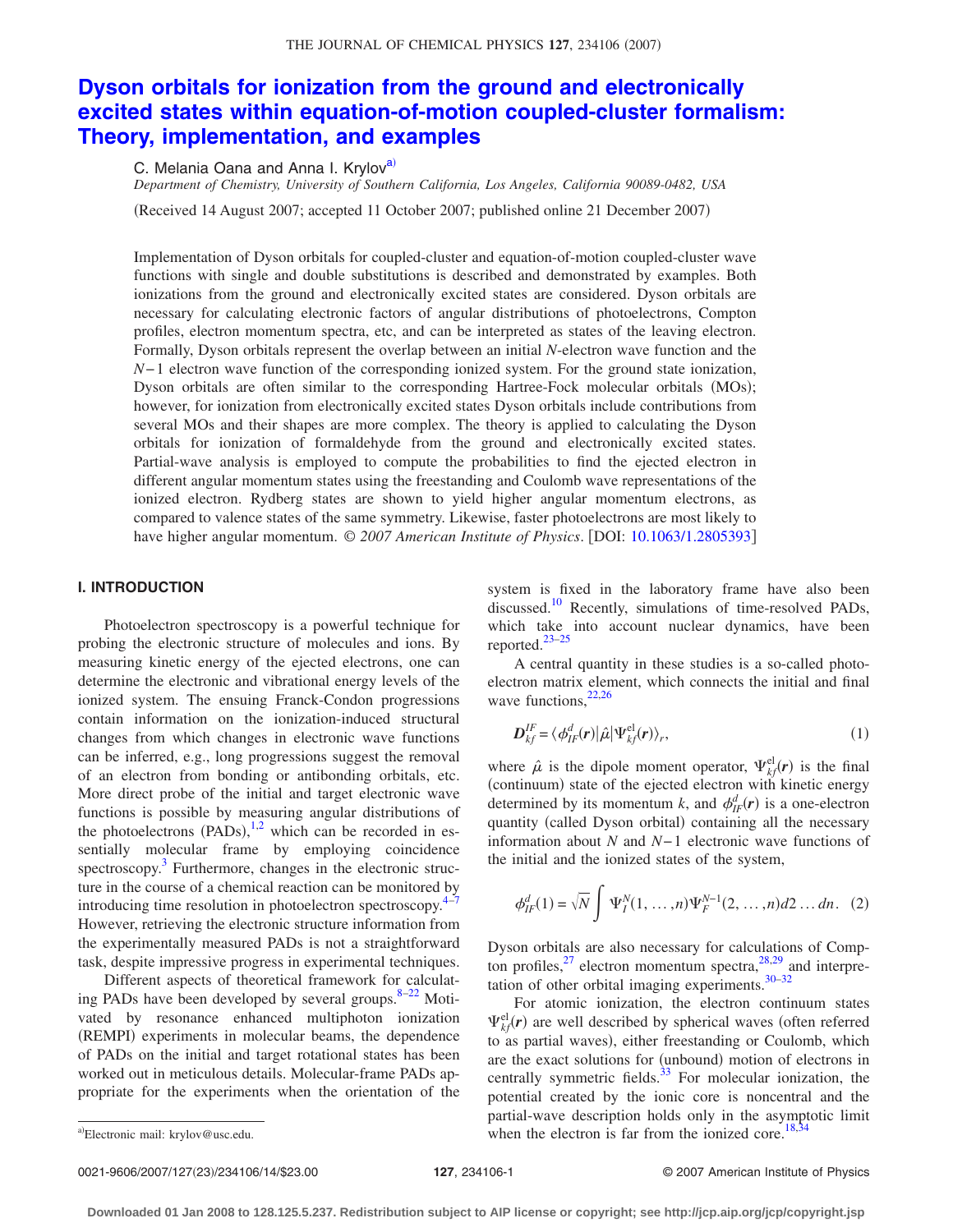# **[Dyson orbitals for ionization from the ground and electronically](http://dx.doi.org/10.1063/1.2805393) [excited states within equation-of-motion coupled-cluster formalism:](http://dx.doi.org/10.1063/1.2805393) [Theory, implementation, and examples](http://dx.doi.org/10.1063/1.2805393)**

C. Melania Oana and Anna I. Krylov<sup>a)</sup>

*Department of Chemistry, University of Southern California, Los Angeles, California 90089-0482, USA*

Received 14 August 2007; accepted 11 October 2007; published online 21 December 2007-

Implementation of Dyson orbitals for coupled-cluster and equation-of-motion coupled-cluster wave functions with single and double substitutions is described and demonstrated by examples. Both ionizations from the ground and electronically excited states are considered. Dyson orbitals are necessary for calculating electronic factors of angular distributions of photoelectrons, Compton profiles, electron momentum spectra, etc, and can be interpreted as states of the leaving electron. Formally, Dyson orbitals represent the overlap between an initial *N*-electron wave function and the *N*−1 electron wave function of the corresponding ionized system. For the ground state ionization, Dyson orbitals are often similar to the corresponding Hartree-Fock molecular orbitals (MOs); however, for ionization from electronically excited states Dyson orbitals include contributions from several MOs and their shapes are more complex. The theory is applied to calculating the Dyson orbitals for ionization of formaldehyde from the ground and electronically excited states. Partial-wave analysis is employed to compute the probabilities to find the ejected electron in different angular momentum states using the freestanding and Coulomb wave representations of the ionized electron. Rydberg states are shown to yield higher angular momentum electrons, as compared to valence states of the same symmetry. Likewise, faster photoelectrons are most likely to have higher angular momentum. © 2007 American Institute of Physics. [DOI: [10.1063/1.2805393](http://dx.doi.org/10.1063/1.2805393)]

## **I. INTRODUCTION**

Photoelectron spectroscopy is a powerful technique for probing the electronic structure of molecules and ions. By measuring kinetic energy of the ejected electrons, one can determine the electronic and vibrational energy levels of the ionized system. The ensuing Franck-Condon progressions contain information on the ionization-induced structural changes from which changes in electronic wave functions can be inferred, e.g., long progressions suggest the removal of an electron from bonding or antibonding orbitals, etc. More direct probe of the initial and target electronic wave functions is possible by measuring angular distributions of the photoelectrons  $(PADs)$ ,<sup>[1](#page-12-0)[,2](#page-12-1)</sup> which can be recorded in essentially molecular frame by employing coincidence spectroscopy.<sup>3</sup> Furthermore, changes in the electronic structure in the course of a chemical reaction can be monitored by introducing time resolution in photoelectron spectroscopy.<sup>4-</sup> However, retrieving the electronic structure information from the experimentally measured PADs is not a straightforward task, despite impressive progress in experimental techniques.

Different aspects of theoretical framework for calculating PADs have been developed by several groups. $8-22$  $8-22$  Motivated by resonance enhanced multiphoton ionization (REMPI) experiments in molecular beams, the dependence of PADs on the initial and target rotational states has been worked out in meticulous details. Molecular-frame PADs appropriate for the experiments when the orientation of the system is fixed in the laboratory frame have also been discussed.<sup>10</sup> Recently, simulations of time-resolved PADs, which take into account nuclear dynamics, have been reported[.23–](#page-12-8)[25](#page-12-9)

A central quantity in these studies is a so-called photoelectron matrix element, which connects the initial and final wave functions, $22,26$  $22,26$ 

$$
\boldsymbol{D}_{kf}^{IF} = \langle \phi_{IF}^d(\boldsymbol{r}) | \hat{\boldsymbol{\mu}} | \Psi_{kf}^{\text{el}}(\boldsymbol{r}) \rangle_r,\tag{1}
$$

<span id="page-0-2"></span>where  $\hat{\mu}$  is the dipole moment operator,  $\Psi_{kf}^{\text{el}}(r)$  is the final (continuum) state of the ejected electron with kinetic energy determined by its momentum *k*, and  $\phi_{IF}^d(\mathbf{r})$  is a one-electron quantity (called Dyson orbital) containing all the necessary information about *N* and *N*− 1 electronic wave functions of the initial and the ionized states of the system,

<span id="page-0-1"></span>
$$
\phi_{IF}^d(1) = \sqrt{N} \int \Psi_I^N(1, ..., n) \Psi_F^{N-1}(2, ..., n) d2 ... dn.
$$
 (2)

Dyson orbitals are also necessary for calculations of Compton profiles, $^{27}$  electron momentum spectra, $^{28,29}$  $^{28,29}$  $^{28,29}$  and interpretation of other orbital imaging experiments. $30-32$  $30-32$ 

For atomic ionization, the electron continuum states  $\Psi_{kf}^{\text{el}}(r)$  are well described by spherical waves (often referred to as partial waves), either freestanding or Coulomb, which are the exact solutions for (unbound) motion of electrons in centrally symmetric fields. $33$  For molecular ionization, the potential created by the ionic core is noncentral and the partial-wave description holds only in the asymptotic limit a)Electronic mail: krylov@usc.edu. When the electron is far from the ionized core.<sup>[18](#page-12-17)[,34](#page-12-18)</sup>

0021-9606/2007/127(23)/234106/14/\$23.00

<span id="page-0-0"></span>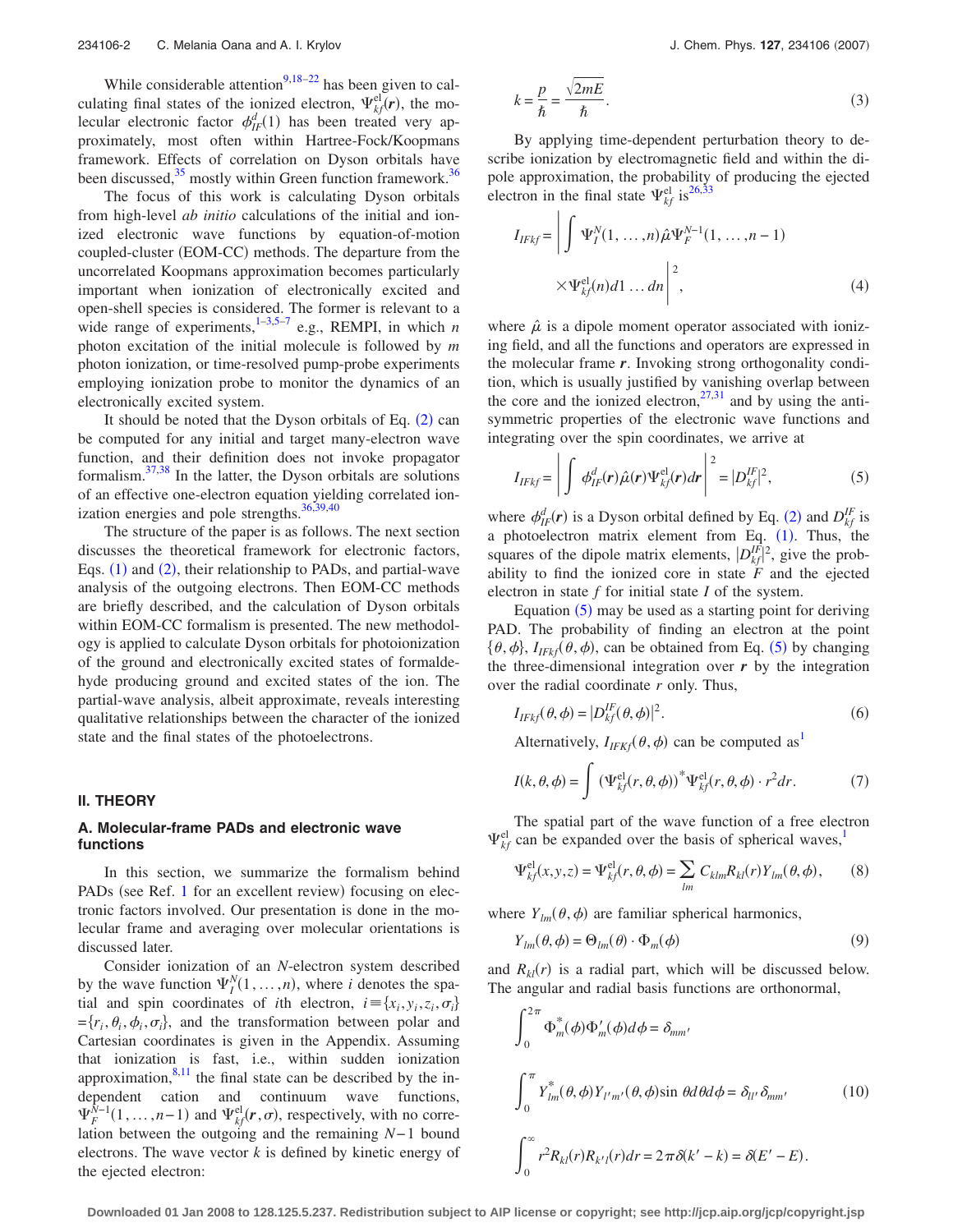While considerable attention $9,18-22$  $9,18-22$  $9,18-22$  has been given to calculating final states of the ionized electron,  $\Psi_{kf}^{\text{el}}(\boldsymbol{r})$ , the molecular electronic factor  $\phi_{IF}^d(1)$  has been treated very approximately, most often within Hartree-Fock/Koopmans framework. Effects of correlation on Dyson orbitals have been discussed, $35$  mostly within Green function framework.<sup>36</sup>

The focus of this work is calculating Dyson orbitals from high-level *ab initio* calculations of the initial and ionized electronic wave functions by equation-of-motion coupled-cluster (EOM-CC) methods. The departure from the uncorrelated Koopmans approximation becomes particularly important when ionization of electronically excited and open-shell species is considered. The former is relevant to a wide range of experiments, $1-3,5-7$  $1-3,5-7$  $1-3,5-7$  $1-3,5-7$  e.g., REMPI, in which *n* photon excitation of the initial molecule is followed by *m* photon ionization, or time-resolved pump-probe experiments employing ionization probe to monitor the dynamics of an electronically excited system.

It should be noted that the Dyson orbitals of Eq.  $(2)$  $(2)$  $(2)$  can be computed for any initial and target many-electron wave function, and their definition does not invoke propagator formalism. $37,38$  $37,38$  In the latter, the Dyson orbitals are solutions of an effective one-electron equation yielding correlated ionization energies and pole strengths. $36,39,40$  $36,39,40$  $36,39,40$ 

The structure of the paper is as follows. The next section discusses the theoretical framework for electronic factors, Eqs.  $(1)$  $(1)$  $(1)$  and  $(2)$  $(2)$  $(2)$ , their relationship to PADs, and partial-wave analysis of the outgoing electrons. Then EOM-CC methods are briefly described, and the calculation of Dyson orbitals within EOM-CC formalism is presented. The new methodology is applied to calculate Dyson orbitals for photoionization of the ground and electronically excited states of formaldehyde producing ground and excited states of the ion. The partial-wave analysis, albeit approximate, reveals interesting qualitative relationships between the character of the ionized state and the final states of the photoelectrons.

## **II. THEORY**

## **A. Molecular-frame PADs and electronic wave functions**

In this section, we summarize the formalism behind PADs (see Ref. [1](#page-12-0) for an excellent review) focusing on electronic factors involved. Our presentation is done in the molecular frame and averaging over molecular orientations is discussed later.

Consider ionization of an *N*-electron system described by the wave function  $\Psi_I^N(1,\ldots,n)$ , where *i* denotes the spatial and spin coordinates of *i*th electron,  $i = \{x_i, y_i, z_i, \sigma_i\}$  $=\{r_i, \theta_i, \phi_i, \sigma_i\}$ , and the transformation between polar and Cartesian coordinates is given in the Appendix. Assuming that ionization is fast, i.e., within sudden ionization approximation, $8,11$  $8,11$  the final state can be described by the independent cation and continuum wave functions,  $\Psi_F^{N-1}(1,\ldots,n-1)$  and  $\Psi_{kf}^{\text{el}}(\mathbf{r},\sigma)$ , respectively, with no correlation between the outgoing and the remaining *N*− 1 bound electrons. The wave vector *k* is defined by kinetic energy of the ejected electron:

$$
k = \frac{p}{\hbar} = \frac{\sqrt{2mE}}{\hbar}.
$$
\n(3)

By applying time-dependent perturbation theory to describe ionization by electromagnetic field and within the dipole approximation, the probability of producing the ejected electron in the final state  $\Psi_{kf}^{\text{el}}$  is<sup>26,[33](#page-12-16)</sup>

$$
I_{IFkf} = \left| \int \Psi_I^N(1, ..., n) \hat{\mu} \Psi_F^{N-1}(1, ..., n-1) \right|
$$
  
 
$$
\times \Psi_{kf}^{\text{el}}(n) d1 ... dn \right|^2, \tag{4}
$$

where  $\hat{\mu}$  is a dipole moment operator associated with ionizing field, and all the functions and operators are expressed in the molecular frame *r*. Invoking strong orthogonality condition, which is usually justified by vanishing overlap between the core and the ionized electron,  $27,31$  $27,31$  and by using the antisymmetric properties of the electronic wave functions and integrating over the spin coordinates, we arrive at

<span id="page-1-0"></span>
$$
I_{IFkf} = \left| \int \phi_{IF}^d(\mathbf{r}) \hat{\mu}(\mathbf{r}) \Psi_{kf}^{\text{el}}(\mathbf{r}) d\mathbf{r} \right|^2 = |D_{kf}^{IF}|^2, \tag{5}
$$

where  $\phi_{IF}^d(\mathbf{r})$  is a Dyson orbital defined by Eq. ([2](#page-0-1)) and  $D_{kf}^{IF}$  is a photoelectron matrix element from Eq.  $(1)$  $(1)$  $(1)$ . Thus, the squares of the dipole matrix elements,  $|D_{kf}^{IF}|^2$ , give the probability to find the ionized core in state  $\ddot{F}$  and the ejected electron in state *f* for initial state *I* of the system.

Equation  $(5)$  $(5)$  $(5)$  may be used as a starting point for deriving PAD. The probability of finding an electron at the point  $\{\theta, \phi\}, I_{IFkf}(\theta, \phi)$ , can be obtained from Eq. ([5](#page-1-0)) by changing the three-dimensional integration over  $r$  by the integration over the radial coordinate *r* only. Thus,

$$
I_{IFkf}(\theta,\phi) = |D_{kf}^{IF}(\theta,\phi)|^2.
$$
 (6)

Alternatively,  $I_{IFKf}(\theta, \phi)$  can be computed as<sup>1</sup>

<span id="page-1-1"></span>
$$
I(k, \theta, \phi) = \int (\Psi_{kf}^{\text{el}}(r, \theta, \phi))^* \Psi_{kf}^{\text{el}}(r, \theta, \phi) \cdot r^2 dr.
$$
 (7)

The spatial part of the wave function of a free electron  $\Psi_{kf}^{\text{el}}$  can be expanded over the basis of spherical waves,<sup>1</sup>

<span id="page-1-2"></span>
$$
\Psi_{kf}^{\text{el}}(x, y, z) = \Psi_{kf}^{\text{el}}(r, \theta, \phi) = \sum_{lm} C_{klm} R_{kl}(r) Y_{lm}(\theta, \phi), \qquad (8)
$$

where  $Y_{lm}(\theta, \phi)$  are familiar spherical harmonics,

$$
Y_{lm}(\theta,\phi) = \Theta_{lm}(\theta) \cdot \Phi_m(\phi) \tag{9}
$$

and  $R_{kl}(r)$  is a radial part, which will be discussed below. The angular and radial basis functions are orthonormal,

$$
\int_{0}^{2\pi} \Phi_{m}^{*}(\phi)\Phi_{m}'(\phi)d\phi = \delta_{mm'}
$$

$$
\int_{0}^{\pi} Y_{lm}^{*}(\theta,\phi)Y_{l'm'}(\theta,\phi)\sin\theta d\theta d\phi = \delta_{ll'}\delta_{mm'}
$$

$$
\int_{0}^{\infty} r^{2}R_{kl}(r)R_{k'l}(r)dr = 2\pi\delta(k'-k) = \delta(E'-E).
$$
 (10)

**Downloaded 01 Jan 2008 to 128.125.5.237. Redistribution subject to AIP license or copyright; see http://jcp.aip.org/jcp/copyright.jsp**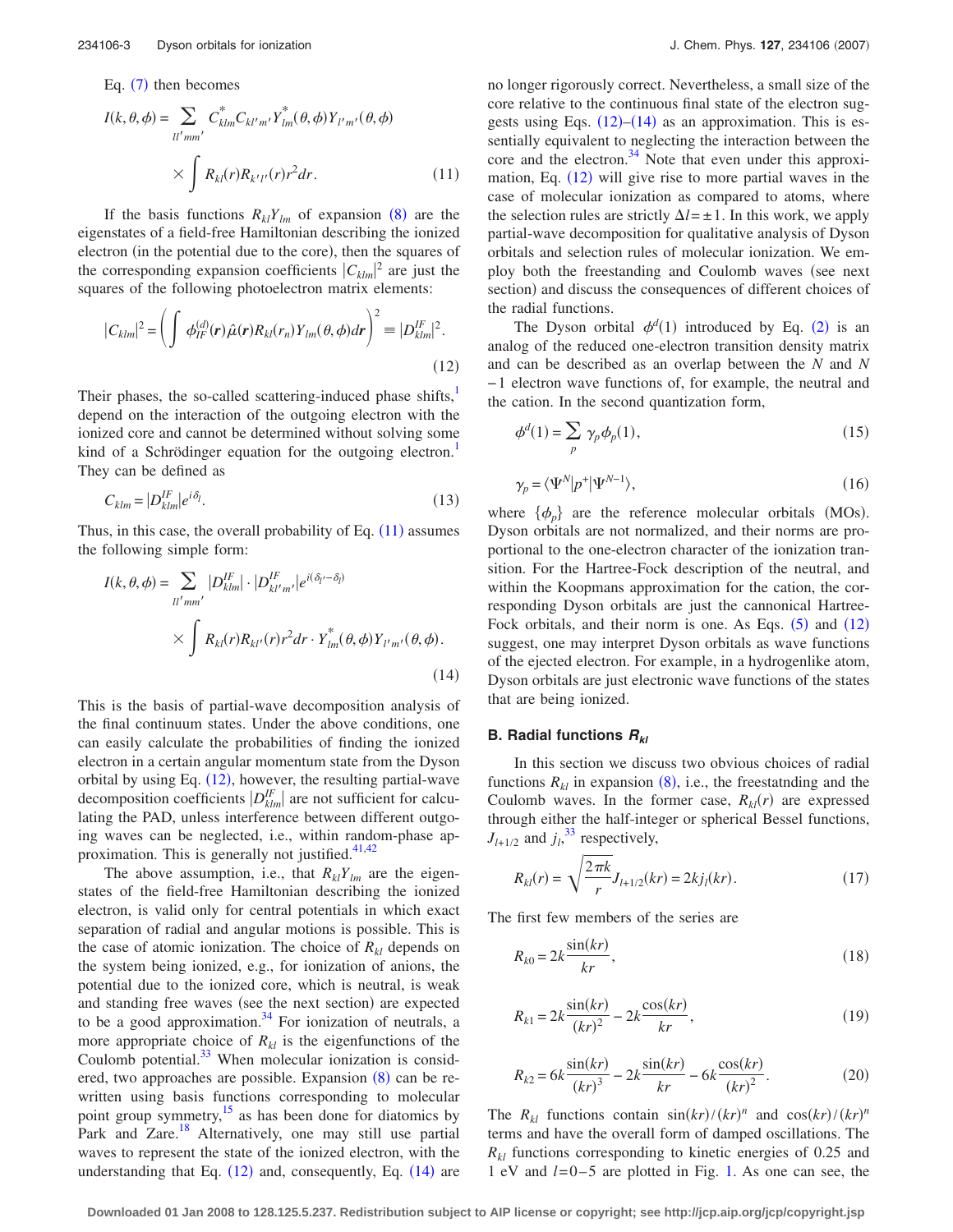Eq.  $(7)$  $(7)$  $(7)$  then becomes

<span id="page-2-0"></span>
$$
I(k, \theta, \phi) = \sum_{ll'mm'} C_{klm}^* C_{kl'm'} Y_{lm}^* (\theta, \phi) Y_{l'm'} (\theta, \phi)
$$

$$
\times \int R_{kl}(r) R_{k'l'}(r) r^2 dr.
$$
 (11)

If the basis functions  $R_{kl}Y_{lm}$  of expansion ([8](#page-1-2)) are the eigenstates of a field-free Hamiltonian describing the ionized electron (in the potential due to the core), then the squares of the corresponding expansion coefficients  $|C_{klm}|^2$  are just the squares of the following photoelectron matrix elements:

<span id="page-2-1"></span>
$$
|C_{klm}|^2 = \left(\int \phi_{IF}^{(d)}(\mathbf{r})\hat{\mu}(\mathbf{r})R_{kl}(r_n)Y_{lm}(\theta,\phi)d\mathbf{r}\right)^2 \equiv |D_{klm}^{IF}|^2.
$$
\n(12)

Their phases, the so-called scattering-induced phase shifts,<sup>1</sup> depend on the interaction of the outgoing electron with the ionized core and cannot be determined without solving some kind of a Schrödinger equation for the outgoing electron.<sup>1</sup> They can be defined as

$$
C_{klm} = |D_{klm}^{IF}|e^{i\delta_l}.
$$
\n(13)

Thus, in this case, the overall probability of Eq.  $(11)$  $(11)$  $(11)$  assumes the following simple form:

<span id="page-2-2"></span>
$$
I(k, \theta, \phi) = \sum_{ll'mm'} |D_{klm}^{IF}| \cdot |D_{kl'm'}^{IF}| e^{i(\delta_{l'} - \delta_{l})}
$$
  
 
$$
\times \int R_{kl}(r)R_{kl'}(r)r^2 dr \cdot Y_{lm}^*(\theta, \phi)Y_{l'm'}(\theta, \phi).
$$
 (14)

This is the basis of partial-wave decomposition analysis of the final continuum states. Under the above conditions, one can easily calculate the probabilities of finding the ionized electron in a certain angular momentum state from the Dyson orbital by using Eq.  $(12)$  $(12)$  $(12)$ , however, the resulting partial-wave decomposition coefficients  $|D_{klm}^{IF}|$  are not sufficient for calculating the PAD, unless interference between different outgoing waves can be neglected, i.e., within random-phase approximation. This is generally not justified. $41,42$  $41,42$ 

The above assumption, i.e., that  $R_{kl}Y_{lm}$  are the eigenstates of the field-free Hamiltonian describing the ionized electron, is valid only for central potentials in which exact separation of radial and angular motions is possible. This is the case of atomic ionization. The choice of  $R_{kl}$  depends on the system being ionized, e.g., for ionization of anions, the potential due to the ionized core, which is neutral, is weak and standing free waves (see the next section) are expected to be a good approximation. $34$  For ionization of neutrals, a more appropriate choice of  $R_{kl}$  is the eigenfunctions of the Coulomb potential. $33$  When molecular ionization is consid-ered, two approaches are possible. Expansion ([8](#page-1-2)) can be rewritten using basis functions corresponding to molecular point group symmetry,  $15$  as has been done for diatomics by Park and Zare.<sup>18</sup> Alternatively, one may still use partial waves to represent the state of the ionized electron, with the understanding that Eq.  $(12)$  $(12)$  $(12)$  and, consequently, Eq.  $(14)$  $(14)$  $(14)$  are

no longer rigorously correct. Nevertheless, a small size of the core relative to the continuous final state of the electron suggests using Eqs.  $(12)$  $(12)$  $(12)$ - $(14)$  $(14)$  $(14)$  as an approximation. This is essentially equivalent to neglecting the interaction between the core and the electron. $34$  Note that even under this approximation, Eq.  $(12)$  $(12)$  $(12)$  will give rise to more partial waves in the case of molecular ionization as compared to atoms, where the selection rules are strictly  $\Delta l = \pm 1$ . In this work, we apply partial-wave decomposition for qualitative analysis of Dyson orbitals and selection rules of molecular ionization. We employ both the freestanding and Coulomb waves (see next section) and discuss the consequences of different choices of the radial functions.

The Dyson orbital  $\phi^d(1)$  introduced by Eq. ([2](#page-0-1)) is an analog of the reduced one-electron transition density matrix and can be described as an overlap between the *N* and *N* − 1 electron wave functions of, for example, the neutral and the cation. In the second quantization form,

$$
\phi^d(1) = \sum_p \gamma_p \phi_p(1),\tag{15}
$$

<span id="page-2-3"></span>
$$
\gamma_p = \langle \Psi^N | p^+ | \Psi^{N-1} \rangle,\tag{16}
$$

where  $\{\phi_p\}$  are the reference molecular orbitals (MOs). Dyson orbitals are not normalized, and their norms are proportional to the one-electron character of the ionization transition. For the Hartree-Fock description of the neutral, and within the Koopmans approximation for the cation, the corresponding Dyson orbitals are just the cannonical Hartree-Fock orbitals, and their norm is one. As Eqs.  $(5)$  $(5)$  $(5)$  and  $(12)$  $(12)$  $(12)$ suggest, one may interpret Dyson orbitals as wave functions of the ejected electron. For example, in a hydrogenlike atom, Dyson orbitals are just electronic wave functions of the states that are being ionized.

## **B. Radial functions**  $R_{kl}$

In this section we discuss two obvious choices of radial functions  $R_{kl}$  in expansion  $(8)$  $(8)$  $(8)$ , i.e., the freestatnding and the Coulomb waves. In the former case,  $R_{kl}(r)$  are expressed through either the half-integer or spherical Bessel functions,  $J_{l+1/2}$  and  $j_l$ <sup>[33](#page-12-16)</sup> respectively,

<span id="page-2-4"></span>
$$
R_{kl}(r) = \sqrt{\frac{2\pi k}{r}} J_{l+1/2}(kr) = 2kj_l(kr).
$$
 (17)

The first few members of the series are

$$
R_{k0} = 2k \frac{\sin(kr)}{kr},\tag{18}
$$

$$
R_{k1} = 2k \frac{\sin(kr)}{(kr)^2} - 2k \frac{\cos(kr)}{kr},
$$
\n(19)

$$
R_{k2} = 6k \frac{\sin(kr)}{(kr)^3} - 2k \frac{\sin(kr)}{kr} - 6k \frac{\cos(kr)}{(kr)^2}.
$$
 (20)

The  $R_{kl}$  functions contain  $\sin(kr)/(kr)^n$  and  $\cos(kr)/(kr)^n$ terms and have the overall form of damped oscillations. The *Rkl* functions corresponding to kinetic energies of 0.25 and 1 eV and  $l=0-5$  are plotted in Fig. [1.](#page-3-0) As one can see, the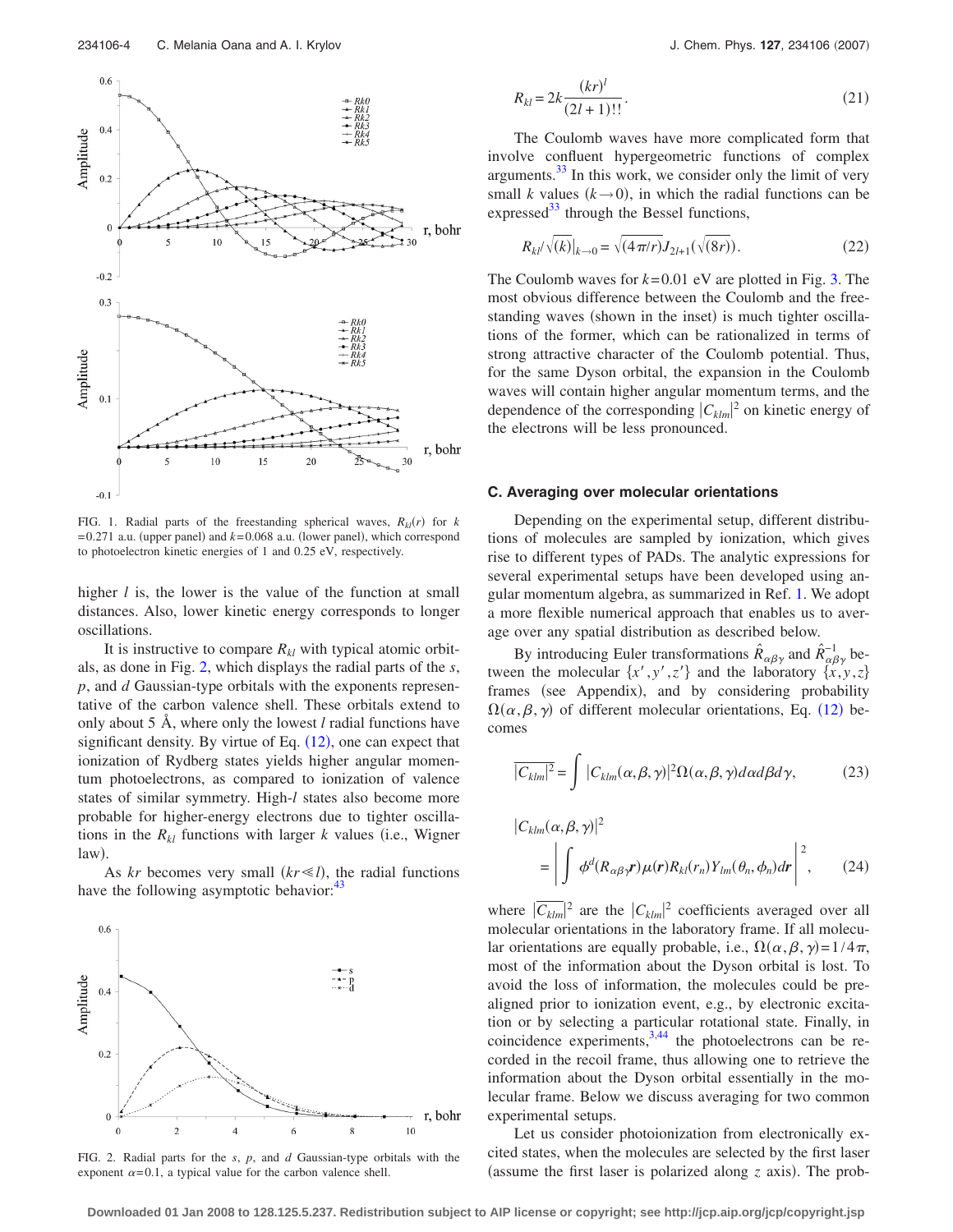<span id="page-3-0"></span>

FIG. 1. Radial parts of the freestanding spherical waves,  $R_{kl}(r)$  for  $k$  $= 0.271$  a.u. (upper panel) and  $k = 0.068$  a.u. (lower panel), which correspond to photoelectron kinetic energies of 1 and 0.25 eV, respectively.

higher *l* is, the lower is the value of the function at small distances. Also, lower kinetic energy corresponds to longer oscillations.

It is instructive to compare  $R_{kl}$  with typical atomic orbitals, as done in Fig. [2,](#page-3-1) which displays the radial parts of the *s*, *p*, and *d* Gaussian-type orbitals with the exponents representative of the carbon valence shell. These orbitals extend to only about 5 Å, where only the lowest *l* radial functions have significant density. By virtue of Eq.  $(12)$  $(12)$  $(12)$ , one can expect that ionization of Rydberg states yields higher angular momentum photoelectrons, as compared to ionization of valence states of similar symmetry. High-*l* states also become more probable for higher-energy electrons due to tighter oscillations in the  $R_{kl}$  functions with larger  $k$  values (i.e., Wigner law).

As  $kr$  becomes very small  $(kr \le l)$ , the radial functions have the following asymptotic behavior:<sup>43</sup>

<span id="page-3-1"></span>

FIG. 2. Radial parts for the *s*, *p*, and *d* Gaussian-type orbitals with the exponent  $\alpha = 0.1$ , a typical value for the carbon valence shell.

<span id="page-3-4"></span>
$$
R_{kl} = 2k \frac{(kr)^l}{(2l+1)!!}.
$$
\n(21)

The Coulomb waves have more complicated form that involve confluent hypergeometric functions of complex arguments. $33$  In this work, we consider only the limit of very small *k* values  $(k \rightarrow 0)$ , in which the radial functions can be expressed $33$  through the Bessel functions,

$$
R_{kl} / \sqrt{(k)}|_{k \to 0} = \sqrt{(4\pi/r)} J_{2l+1}(\sqrt{(8r)}).
$$
 (22)

<span id="page-3-5"></span>The Coulomb waves for  $k=0.01$  eV are plotted in Fig. [3.](#page-4-0) The most obvious difference between the Coulomb and the freestanding waves (shown in the inset) is much tighter oscillations of the former, which can be rationalized in terms of strong attractive character of the Coulomb potential. Thus, for the same Dyson orbital, the expansion in the Coulomb waves will contain higher angular momentum terms, and the dependence of the corresponding  $|C_{klm}|^2$  on kinetic energy of the electrons will be less pronounced.

#### **C. Averaging over molecular orientations**

Depending on the experimental setup, different distributions of molecules are sampled by ionization, which gives rise to different types of PADs. The analytic expressions for several experimental setups have been developed using angular momentum algebra, as summarized in Ref. [1.](#page-12-0) We adopt a more flexible numerical approach that enables us to average over any spatial distribution as described below.

By introducing Euler transformations  $\hat{R}_{\alpha\beta\gamma}$  and  $\hat{R}_{\alpha\beta\gamma}^{-1}$  between the molecular  $\{x', y', z'\}$  and the laboratory  $\{x, y, z\}$ frames (see Appendix), and by considering probability  $\Omega(\alpha,\beta,\gamma)$  of different molecular orientations, Eq. ([12](#page-2-1)) becomes

<span id="page-3-3"></span>
$$
\overline{|C_{klm}|^2} = \int |C_{klm}(\alpha, \beta, \gamma)|^2 \Omega(\alpha, \beta, \gamma) d\alpha d\beta d\gamma, \qquad (23)
$$

<span id="page-3-2"></span>
$$
|C_{klm}(\alpha,\beta,\gamma)|^2
$$
  
= 
$$
\left| \int \phi^d(R_{\alpha\beta\gamma}r)\mu(r)R_{kl}(r_n)Y_{lm}(\theta_n,\phi_n)dr \right|^2,
$$
 (24)

where  $|\overline{C_{klm}}|^2$  are the  $|C_{klm}|^2$  coefficients averaged over all molecular orientations in the laboratory frame. If all molecular orientations are equally probable, i.e.,  $\Omega(\alpha, \beta, \gamma) = 1/4\pi$ , most of the information about the Dyson orbital is lost. To avoid the loss of information, the molecules could be prealigned prior to ionization event, e.g., by electronic excitation or by selecting a particular rotational state. Finally, in coincidence experiments,  $3,44$  $3,44$  the photoelectrons can be recorded in the recoil frame, thus allowing one to retrieve the information about the Dyson orbital essentially in the molecular frame. Below we discuss averaging for two common experimental setups.

Let us consider photoionization from electronically excited states, when the molecules are selected by the first laser (assume the first laser is polarized along  $z$  axis). The prob-

**Downloaded 01 Jan 2008 to 128.125.5.237. Redistribution subject to AIP license or copyright; see http://jcp.aip.org/jcp/copyright.jsp**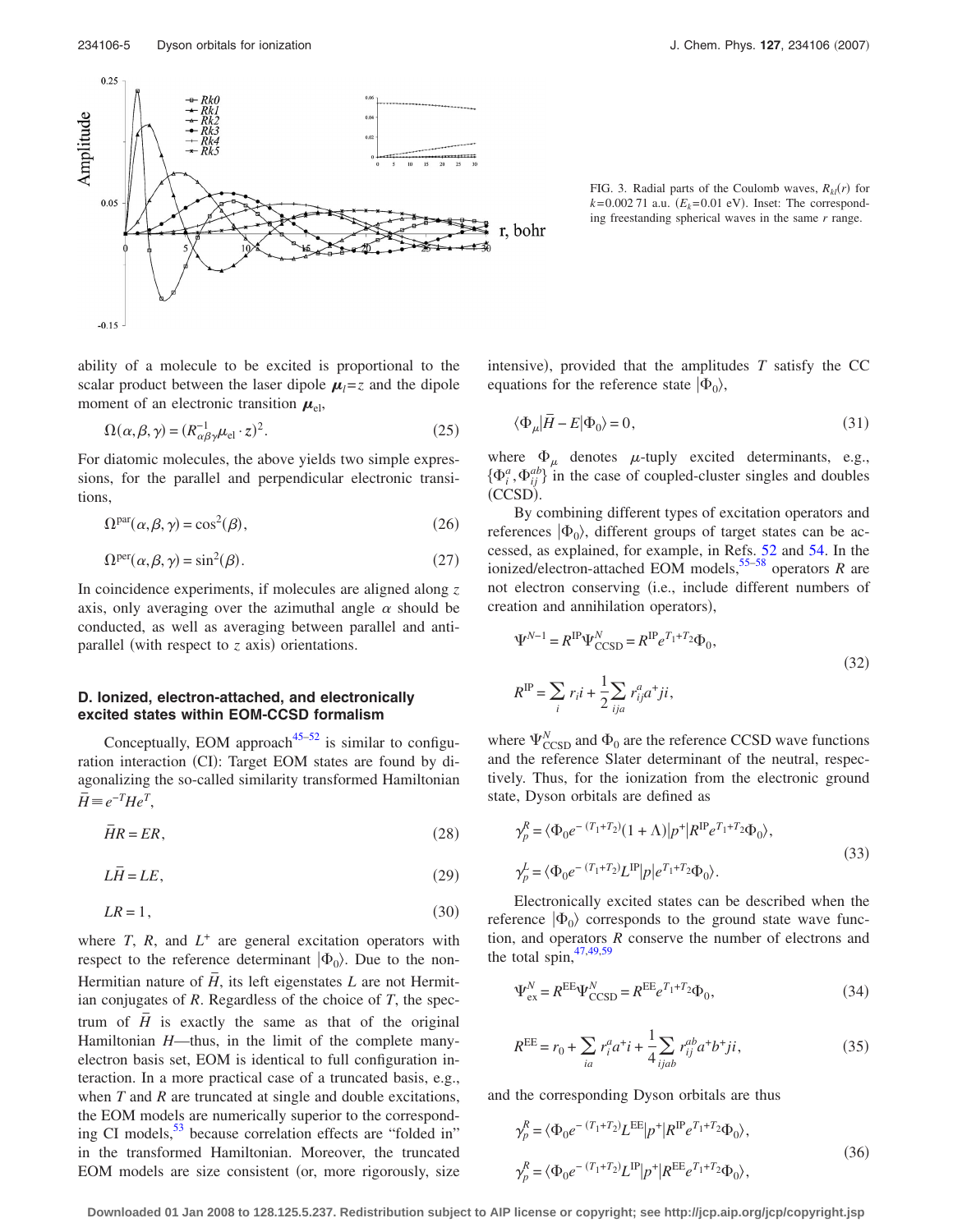<span id="page-4-0"></span>

FIG. 3. Radial parts of the Coulomb waves,  $R_{kl}(r)$  for  $k = 0.00271$  a.u.  $(E_k = 0.01 \text{ eV})$ . Inset: The corresponding freestanding spherical waves in the same *r* range.

ability of a molecule to be excited is proportional to the scalar product between the laser dipole  $\mu_1 = z$  and the dipole moment of an electronic transition  $\mu_{el}$ ,

$$
\Omega(\alpha, \beta, \gamma) = (R_{\alpha\beta\gamma}^{-1} \mu_{\rm el} \cdot z)^2.
$$
 (25)

For diatomic molecules, the above yields two simple expressions, for the parallel and perpendicular electronic transitions,

$$
\Omega^{\text{par}}(\alpha, \beta, \gamma) = \cos^2(\beta),\tag{26}
$$

$$
\Omega^{\text{per}}(\alpha, \beta, \gamma) = \sin^2(\beta). \tag{27}
$$

In coincidence experiments, if molecules are aligned along *z* axis, only averaging over the azimuthal angle  $\alpha$  should be conducted, as well as averaging between parallel and antiparallel (with respect to  $z$  axis) orientations.

## **D. Ionized, electron-attached, and electronically excited states within EOM-CCSD formalism**

Conceptually, EOM approach $45-52$  $45-52$  is similar to configuration interaction (CI): Target EOM states are found by diagonalizing the so-called similarity transformed Hamiltonian  $\bar{H} = e^{-T}He^{T}$ ,

$$
\overline{H}R = ER,\tag{28}
$$

$$
L\overline{H} = LE,\tag{29}
$$

$$
LR = 1,\tag{30}
$$

where  $T$ ,  $R$ , and  $L^+$  are general excitation operators with respect to the reference determinant  $|\Phi_0\rangle$ . Due to the non-Hermitian nature of  $H$ , its left eigenstates  $L$  are not Hermitian conjugates of *R*. Regardless of the choice of *T*, the spectrum of  $\overline{H}$  is exactly the same as that of the original Hamiltonian *H*—thus, in the limit of the complete manyelectron basis set, EOM is identical to full configuration interaction. In a more practical case of a truncated basis, e.g., when *T* and *R* are truncated at single and double excitations, the EOM models are numerically superior to the corresponding CI models,<sup>53</sup> because correlation effects are "folded in" in the transformed Hamiltonian. Moreover, the truncated EOM models are size consistent (or, more rigorously, size

intensive), provided that the amplitudes  $T$  satisfy the CC equations for the reference state  $|\Phi_0\rangle$ ,

$$
\langle \Phi_{\mu} | \bar{H} - E | \Phi_0 \rangle = 0, \tag{31}
$$

where  $\Phi_{\mu}$  denotes  $\mu$ -tuply excited determinants, e.g.,  $\{\Phi_i^a, \Phi_{ij}^{ab}\}$  in the case of coupled-cluster singles and doubles (CCSD).

By combining different types of excitation operators and references  $|\Phi_0\rangle$ , different groups of target states can be accessed, as explained, for example, in Refs. [52](#page-12-35) and [54.](#page-12-37) In the ionized/electron-attached EOM models[,55–](#page-12-38)[58](#page-13-0) operators *R* are not electron conserving (i.e., include different numbers of creation and annihilation operators),

<span id="page-4-2"></span>
$$
\Psi^{N-1} = R^{\text{IP}} \Psi_{\text{CCSD}}^{N} = R^{\text{IP}} e^{T_1 + T_2} \Phi_0,
$$
  
\n
$$
R^{\text{IP}} = \sum_{i} r_i i + \frac{1}{2} \sum_{ija} r_{ij}^a \sigma^+ j i,
$$
\n(32)

where  $\Psi_{\text{CCSD}}^N$  and  $\Phi_0$  are the reference CCSD wave functions and the reference Slater determinant of the neutral, respectively. Thus, for the ionization from the electronic ground state, Dyson orbitals are defined as

<span id="page-4-3"></span>
$$
\gamma_p^R = \langle \Phi_0 e^{-(T_1 + T_2)} (1 + \Lambda) | p^+ | R^{\text{IP}} e^{T_1 + T_2} \Phi_0 \rangle,
$$
  

$$
\gamma_p^L = \langle \Phi_0 e^{-(T_1 + T_2)} L^{\text{IP}} | p | e^{T_1 + T_2} \Phi_0 \rangle.
$$
 (33)

Electronically excited states can be described when the reference  $|\Phi_0\rangle$  corresponds to the ground state wave function, and operators *R* conserve the number of electrons and the total spin, $47,49,59$  $47,49,59$  $47,49,59$ 

$$
\Psi_{\text{ex}}^N = R^{\text{EE}} \Psi_{\text{CCSD}}^N = R^{\text{EE}} e^{T_1 + T_2} \Phi_0,\tag{34}
$$

<span id="page-4-1"></span>
$$
R^{EE} = r_0 + \sum_{ia} r_i^a a^+ i + \frac{1}{4} \sum_{ijab} r_{ij}^{ab} a^+ b^+ ji,\tag{35}
$$

<span id="page-4-4"></span>and the corresponding Dyson orbitals are thus

$$
\gamma_p^R = \langle \Phi_0 e^{-(T_1 + T_2)} L^{EE} | p^+ | R^{IP} e^{T_1 + T_2} \Phi_0 \rangle,
$$
  

$$
\gamma_p^R = \langle \Phi_0 e^{-(T_1 + T_2)} L^{IP} | p^+ | R^{EE} e^{T_1 + T_2} \Phi_0 \rangle,
$$
 (36)

**Downloaded 01 Jan 2008 to 128.125.5.237. Redistribution subject to AIP license or copyright; see http://jcp.aip.org/jcp/copyright.jsp**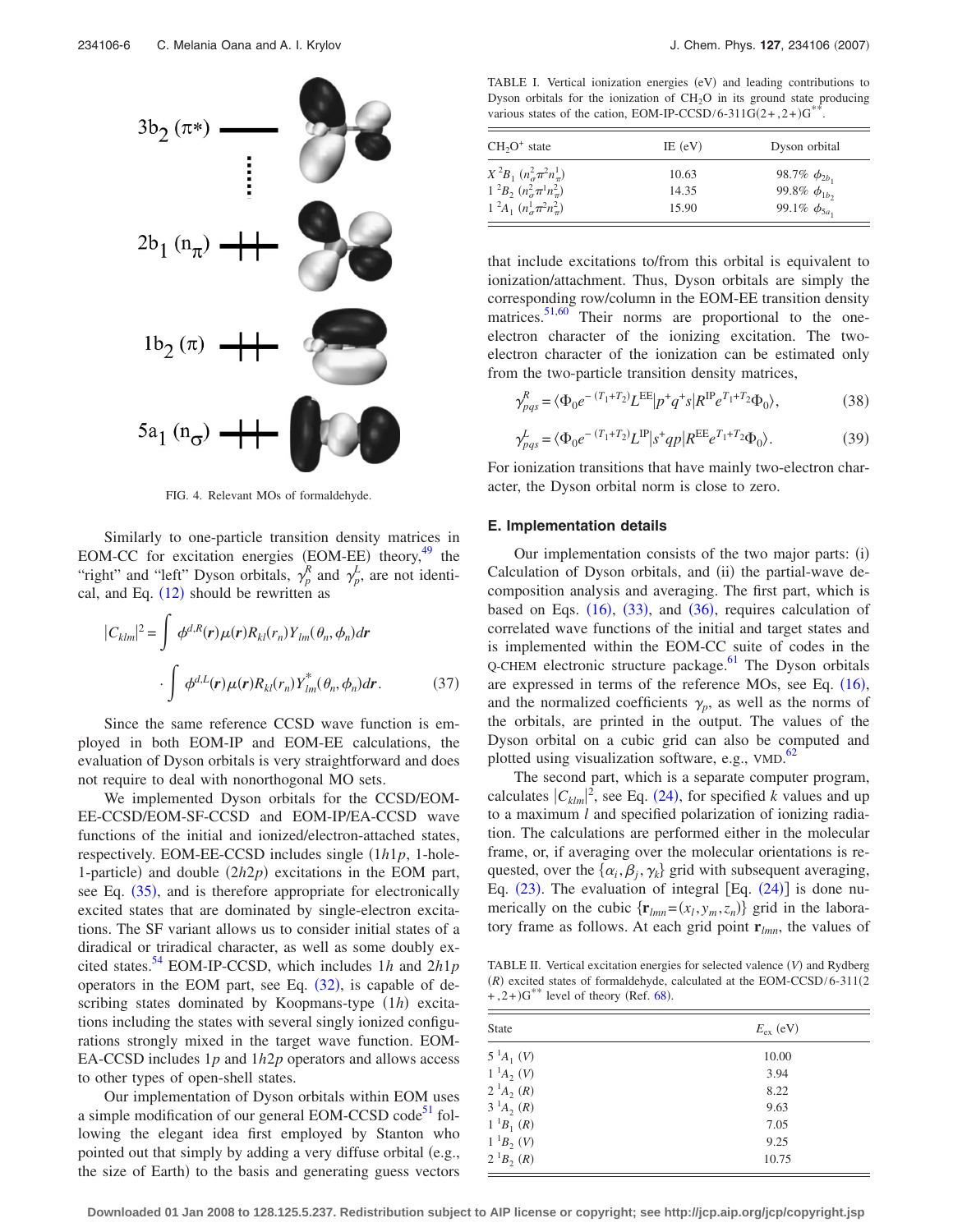<span id="page-5-0"></span>

FIG. 4. Relevant MOs of formaldehyde.

Similarly to one-particle transition density matrices in EOM-CC for excitation energies (EOM-EE) theory,<sup>49</sup> the "right" and "left" Dyson orbitals,  $\gamma_p^R$  and  $\gamma_p^L$ , are not identical, and Eq.  $(12)$  $(12)$  $(12)$  should be rewritten as

$$
|C_{klm}|^2 = \int \phi^{d,R}(r)\mu(r)R_{kl}(r_n)Y_{lm}(\theta_n, \phi_n)dr
$$

$$
\int \phi^{d,L}(r)\mu(r)R_{kl}(r_n)Y_{lm}^*(\theta_n, \phi_n)dr.
$$
 (37)

Since the same reference CCSD wave function is employed in both EOM-IP and EOM-EE calculations, the evaluation of Dyson orbitals is very straightforward and does not require to deal with nonorthogonal MO sets.

We implemented Dyson orbitals for the CCSD/EOM-EE-CCSD/EOM-SF-CCSD and EOM-IP/EA-CCSD wave functions of the initial and ionized/electron-attached states, respectively. EOM-EE-CCSD includes single 1*h*1*p*, 1-hole-1-particle) and double  $(2h2p)$  excitations in the EOM part, see Eq. ([35](#page-4-1)), and is therefore appropriate for electronically excited states that are dominated by single-electron excitations. The SF variant allows us to consider initial states of a diradical or triradical character, as well as some doubly excited states.<sup>54</sup> EOM-IP-CCSD, which includes  $1h$  and  $2h1p$ operators in the EOM part, see Eq.  $(32)$  $(32)$  $(32)$ , is capable of describing states dominated by Koopmans-type (1h) excitations including the states with several singly ionized configurations strongly mixed in the target wave function. EOM-EA-CCSD includes 1*p* and 1*h*2*p* operators and allows access to other types of open-shell states.

Our implementation of Dyson orbitals within EOM uses a simple modification of our general EOM-CCSD code<sup>51</sup> following the elegant idea first employed by Stanton who pointed out that simply by adding a very diffuse orbital (e.g., the size of Earth) to the basis and generating guess vectors

<span id="page-5-1"></span>TABLE I. Vertical ionization energies (eV) and leading contributions to Dyson orbitals for the ionization of  $CH<sub>2</sub>O$  in its ground state producing various states of the cation, EOM-IP-CCSD/6-311G $(2+, 2+)G^{**}$ .

| $CH2O+$ state                                     | $IE$ (eV) | Dyson orbital       |
|---------------------------------------------------|-----------|---------------------|
| $X^{2}B_{1} (n_{\sigma}^{2}\pi^{2}n_{\pi}^{1})$   | 10.63     | 98.7% $\phi_{2b}$   |
| $1^{2}B_{2} (n_{\sigma}^{2} \pi^{1} n_{\pi}^{2})$ | 14.35     | 99.8% $\phi_{1b}$   |
| $1^2A_1(n_\sigma^1\pi^2n_\pi^2)$                  | 15.90     | 99.1% $\phi_{5a_1}$ |

that include excitations to/from this orbital is equivalent to ionization/attachment. Thus, Dyson orbitals are simply the corresponding row/column in the EOM-EE transition density matrices. $51,60$  $51,60$ <sup> $\overline{ }$ </sup> Their norms are proportional to the oneelectron character of the ionizing excitation. The twoelectron character of the ionization can be estimated only from the two-particle transition density matrices,

$$
\gamma_{pqs}^{R} = \langle \Phi_0 e^{-(T_1 + T_2)} L^{EE} | p^+ q^+ s | R^{IP} e^{T_1 + T_2} \Phi_0 \rangle, \tag{38}
$$

$$
\gamma_{pqs}^L = \langle \Phi_0 e^{-(T_1 + T_2)} L^{\rm IP} | s^+ q p | R^{\rm EE} e^{T_1 + T_2} \Phi_0 \rangle. \tag{39}
$$

For ionization transitions that have mainly two-electron character, the Dyson orbital norm is close to zero.

#### **E. Implementation details**

Our implementation consists of the two major parts: (i) Calculation of Dyson orbitals, and (ii) the partial-wave decomposition analysis and averaging. The first part, which is based on Eqs.  $(16)$  $(16)$  $(16)$ ,  $(33)$  $(33)$  $(33)$ , and  $(36)$  $(36)$  $(36)$ , requires calculation of correlated wave functions of the initial and target states and is implemented within the EOM-CC suite of codes in the Q-CHEM electronic structure package.<sup>61</sup> The Dyson orbitals are expressed in terms of the reference MOs, see Eq. ([16](#page-2-3)), and the normalized coefficients  $\gamma_p$ , as well as the norms of the orbitals, are printed in the output. The values of the Dyson orbital on a cubic grid can also be computed and plotted using visualization software, e.g., VMD.<sup>[62](#page-13-4)</sup>

The second part, which is a separate computer program, calculates  $|C_{klm}|^2$ , see Eq. ([24](#page-3-2)), for specified *k* values and up to a maximum *l* and specified polarization of ionizing radiation. The calculations are performed either in the molecular frame, or, if averaging over the molecular orientations is requested, over the  $\{\alpha_i, \beta_i, \gamma_k\}$  grid with subsequent averaging, Eq.  $(23)$  $(23)$  $(23)$ . The evaluation of integral  $[Eq. (24)]$  $[Eq. (24)]$  $[Eq. (24)]$  is done numerically on the cubic  $\{r_{lmn} = (x_l, y_m, z_n)\}$  grid in the laboratory frame as follows. At each grid point **r***lmn*, the values of

<span id="page-5-2"></span>TABLE II. Vertical excitation energies for selected valence (V) and Rydberg  $(R)$  excited states of formaldehyde, calculated at the EOM-CCSD/6-311(2)  $+, 2+)$ G<sup>\*\*</sup> level of theory (Ref. [68](#page-13-5)).

| <b>State</b>    | $E_{\rm ex}$ (eV) |  |
|-----------------|-------------------|--|
| $5^1A_1(V)$     | 10.00             |  |
| $1^1A_2(V)$     | 3.94              |  |
| $2^{1}A_{2}(R)$ | 8.22              |  |
| $3^{1}A_{2}(R)$ | 9.63              |  |
| $1^{1}B_{1}(R)$ | 7.05              |  |
| $1^{1}B_{2}(V)$ | 9.25              |  |
| $2^{1}B_{2}(R)$ | 10.75             |  |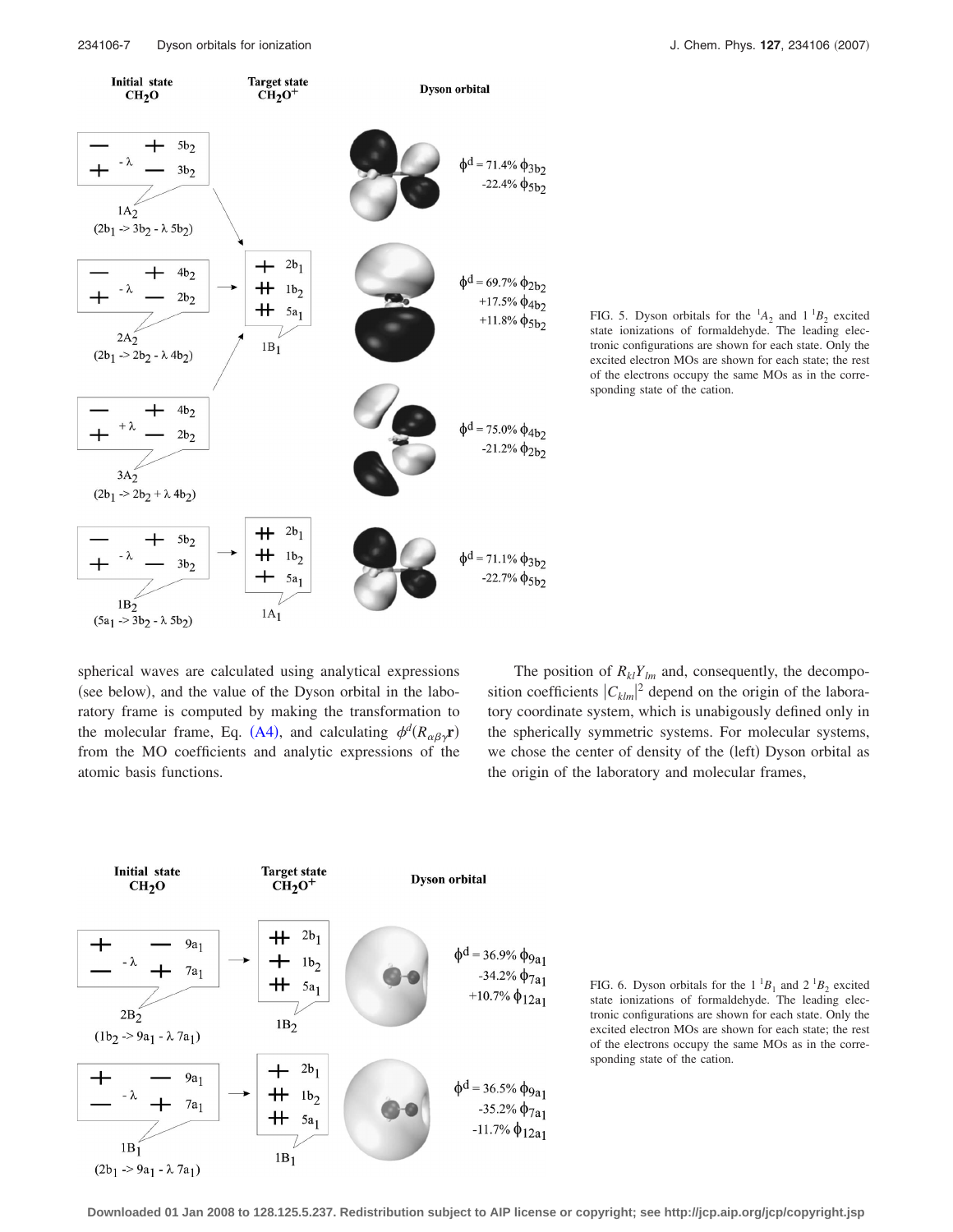<span id="page-6-0"></span>

FIG. 5. Dyson orbitals for the  ${}^{1}A_2$  and  $1 {}^{1}B_2$  excited state ionizations of formaldehyde. The leading electronic configurations are shown for each state. Only the excited electron MOs are shown for each state; the rest of the electrons occupy the same MOs as in the corresponding state of the cation.

spherical waves are calculated using analytical expressions (see below), and the value of the Dyson orbital in the laboratory frame is computed by making the transformation to the molecular frame, Eq. ([A4](#page-12-42)), and calculating  $\phi^d(R_{\alpha\beta\gamma}\mathbf{r})$ from the MO coefficients and analytic expressions of the atomic basis functions.

The position of  $R_{kl}Y_{lm}$  and, consequently, the decomposition coefficients  $|C_{klm}|^2$  depend on the origin of the laboratory coordinate system, which is unabigously defined only in the spherically symmetric systems. For molecular systems, we chose the center of density of the (left) Dyson orbital as the origin of the laboratory and molecular frames,

<span id="page-6-1"></span>

FIG. 6. Dyson orbitals for the  $1^1B_1$  and  $2^1B_2$  excited state ionizations of formaldehyde. The leading electronic configurations are shown for each state. Only the excited electron MOs are shown for each state; the rest of the electrons occupy the same MOs as in the corresponding state of the cation.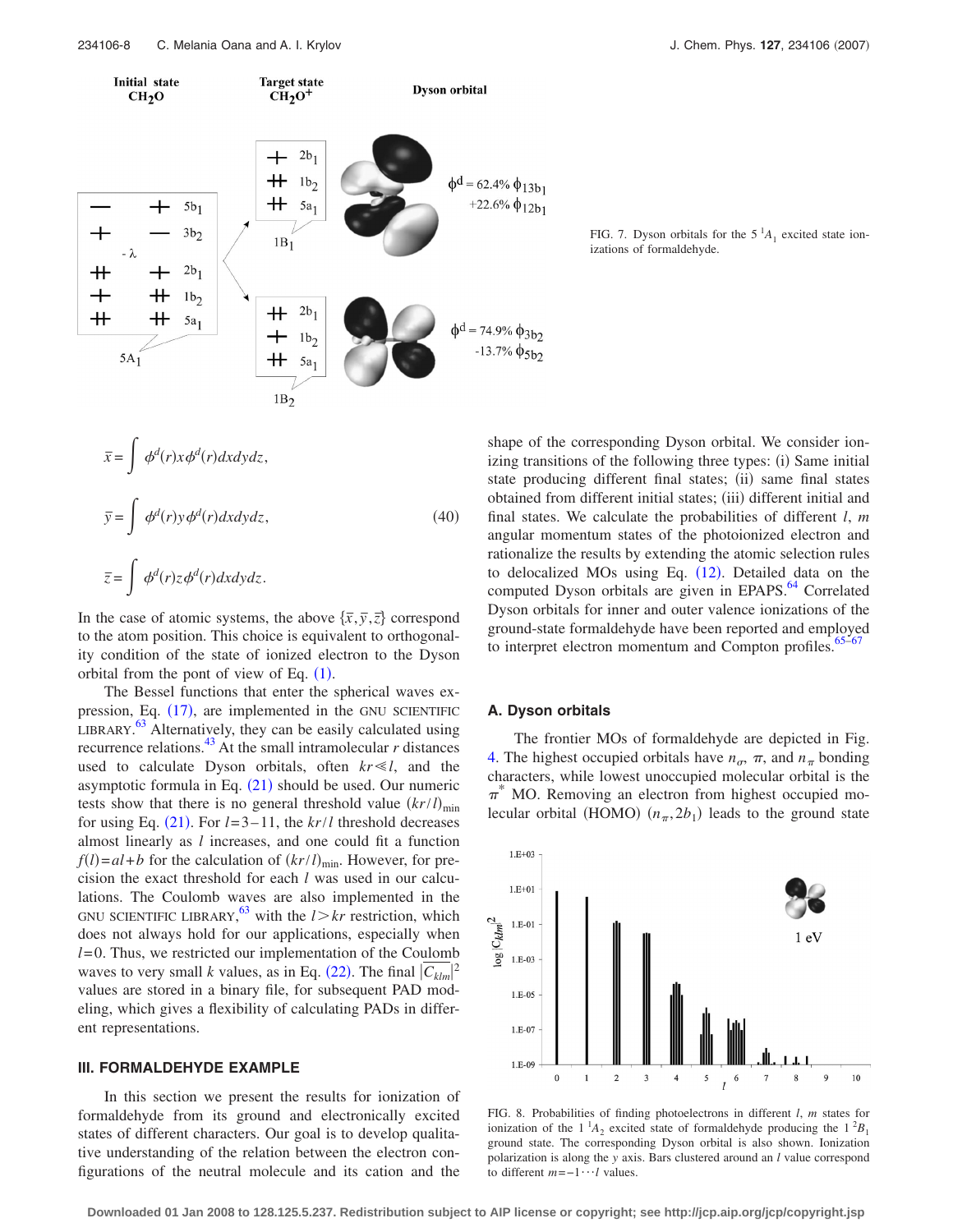FIG. 7. Dyson orbitals for the  $5^1A_1$  excited state ion-

izations of formaldehyde.

<span id="page-7-0"></span>

In the case of atomic systems, the above  $\{\bar{x}, \bar{y}, \bar{z}\}$  correspond to the atom position. This choice is equivalent to orthogonality condition of the state of ionized electron to the Dyson orbital from the pont of view of Eq.  $(1)$  $(1)$  $(1)$ .

The Bessel functions that enter the spherical waves ex-pression, Eq. ([17](#page-2-4)), are implemented in the GNU SCIENTIFIC LIBRARY.<sup>[63](#page-13-6)</sup> Alternatively, they can be easily calculated using recurrence relations.<sup>43</sup> At the small intramolecular  $r$  distances used to calculate Dyson orbitals, often  $kr \ll l$ , and the asymptotic formula in Eq.  $(21)$  $(21)$  $(21)$  should be used. Our numeric tests show that there is no general threshold value  $(kr/l)_{min}$ for using Eq.  $(21)$  $(21)$  $(21)$ . For  $l = 3 - 11$ , the  $kr/l$  threshold decreases almost linearly as *l* increases, and one could fit a function  $f(l) = al + b$  for the calculation of  $(kr/l)_{min}$ . However, for precision the exact threshold for each *l* was used in our calculations. The Coulomb waves are also implemented in the GNU SCIENTIFIC LIBRARY,<sup>[63](#page-13-6)</sup> with the  $l > kr$  restriction, which does not always hold for our applications, especially when *l*= 0. Thus, we restricted our implementation of the Coulomb waves to very small *k* values, as in Eq. ([22](#page-3-5)). The final  $|\overline{C_{klm}}|^2$ values are stored in a binary file, for subsequent PAD modeling, which gives a flexibility of calculating PADs in different representations.

## **III. FORMALDEHYDE EXAMPLE**

In this section we present the results for ionization of formaldehyde from its ground and electronically excited states of different characters. Our goal is to develop qualitative understanding of the relation between the electron configurations of the neutral molecule and its cation and the shape of the corresponding Dyson orbital. We consider ionizing transitions of the following three types: (i) Same initial state producing different final states; (ii) same final states obtained from different initial states; (iii) different initial and final states. We calculate the probabilities of different *l*, *m* angular momentum states of the photoionized electron and rationalize the results by extending the atomic selection rules to delocalized MOs using Eq. ([12](#page-2-1)). Detailed data on the computed Dyson orbitals are given in EPAPS.<sup>64</sup> Correlated Dyson orbitals for inner and outer valence ionizations of the ground-state formaldehyde have been reported and employed to interpret electron momentum and Compton profiles. $65-67$  $65-67$ 

## **A. Dyson orbitals**

The frontier MOs of formaldehyde are depicted in Fig. [4.](#page-5-0) The highest occupied orbitals have  $n_{\sigma}$ ,  $\pi$ , and  $n_{\pi}$  bonding characters, while lowest unoccupied molecular orbital is the  $\pi^*$  MO. Removing an electron from highest occupied molecular orbital (HOMO)  $(n_{\pi}, 2b_1)$  leads to the ground state

<span id="page-7-1"></span>

FIG. 8. Probabilities of finding photoelectrons in different *l*, *m* states for ionization of the  $1^1A_2$  excited state of formaldehyde producing the  $1^2B_1$ ground state. The corresponding Dyson orbital is also shown. Ionization polarization is along the *y* axis. Bars clustered around an *l* value correspond to different *m* = −1 *··l* values.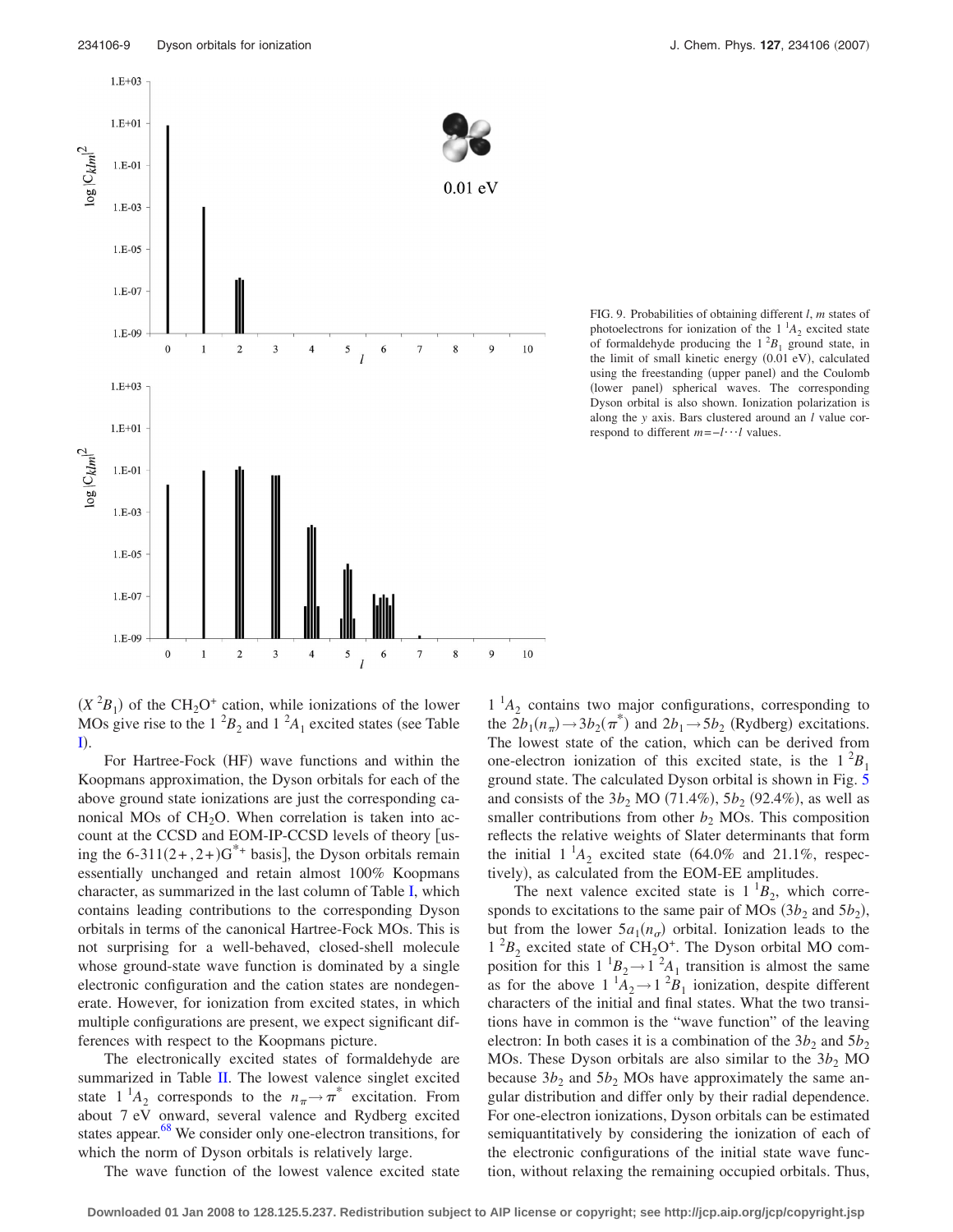<span id="page-8-0"></span> $1.E+03$ 

 $1.E + 01$ 

 $1.E-01$ 

 $1.E-03$ 

1.E-05

 $1.E-07$ 

1.E-09

 $1.E + 03$ 

 $1.E + 01$ 

 $1.E-01$ 

 $1.E-03$ 

 $1.E-05$ 

 $1.E-07$ 

 $1.E-09$ 

 $\mathbf{0}$ 

 $\overline{1}$ 

 $\log|\textrm{C}_{klm}|^2$ 

 $log |C_{klm}|$ 



FIG. 9. Probabilities of obtaining different *l*, *m* states of photoelectrons for ionization of the  $1 \, {}^{1}A_{2}$  excited state of formaldehyde producing the  $1^2B_1$  ground state, in the limit of small kinetic energy (0.01 eV), calculated using the freestanding (upper panel) and the Coulomb (lower panel) spherical waves. The corresponding Dyson orbital is also shown. Ionization polarization is along the *y* axis. Bars clustered around an *l* value correspond to different  $m = -l \cdot \cdot \cdot l$  values.

 $(X^2B_1)$  of the CH<sub>2</sub>O<sup>+</sup> cation, while ionizations of the lower MOs give rise to the  $1^2B_2$  and  $1^2A_1$  excited states (see Table [I](#page-5-1)).

 $\overline{\mathbf{3}}$ 

 $\overline{\mathbf{4}}$ 

5

 $\overline{l}$ 

 $\sqrt{6}$ 

 $\overline{7}$ 

8

 $\overline{2}$ 

For Hartree-Fock (HF) wave functions and within the Koopmans approximation, the Dyson orbitals for each of the above ground state ionizations are just the corresponding canonical MOs of  $CH<sub>2</sub>O$ . When correlation is taken into account at the CCSD and EOM-IP-CCSD levels of theory [using the  $6-311(2+,2+)G^{*+}$  basis], the Dyson orbitals remain essentially unchanged and retain almost 100% Koopmans character, as summarized in the last column of Table [I,](#page-5-1) which contains leading contributions to the corresponding Dyson orbitals in terms of the canonical Hartree-Fock MOs. This is not surprising for a well-behaved, closed-shell molecule whose ground-state wave function is dominated by a single electronic configuration and the cation states are nondegenerate. However, for ionization from excited states, in which multiple configurations are present, we expect significant differences with respect to the Koopmans picture.

The electronically excited states of formaldehyde are summarized in Table [II.](#page-5-2) The lowest valence singlet excited state  $1^1A_2$  corresponds to the  $n_{\pi} \rightarrow \pi^*$  excitation. From about 7 eV onward, several valence and Rydberg excited states appear.<sup>68</sup> We consider only one-electron transitions, for which the norm of Dyson orbitals is relatively large.

The wave function of the lowest valence excited state

 $1<sup>1</sup>A<sub>2</sub>$  contains two major configurations, corresponding to the  $2b_1(n_{\pi}) \rightarrow 3b_2(\pi^*)$  and  $2b_1 \rightarrow 5b_2$  (Rydberg) excitations. The lowest state of the cation, which can be derived from one-electron ionization of this excited state, is the  $1^2B_1$ ground state. The calculated Dyson orbital is shown in Fig. [5](#page-6-0) and consists of the  $3b_2$  MO (71.4%),  $5b_2$  (92.4%), as well as smaller contributions from other  $b_2$  MOs. This composition reflects the relative weights of Slater determinants that form the initial  $1^1A_2$  excited state (64.0% and 21.1%, respectively), as calculated from the EOM-EE amplitudes.

The next valence excited state is  $1<sup>1</sup>B_2$ , which corresponds to excitations to the same pair of MOs  $(3b_2 \text{ and } 5b_2)$ , but from the lower  $5a_1(n_\sigma)$  orbital. Ionization leads to the  $1^{2}B_{2}$  excited state of CH<sub>2</sub>O<sup>+</sup>. The Dyson orbital MO composition for this  $1 \frac{1}{2}$   $\rightarrow$   $1 \frac{2}{3}$  transition is almost the same as for the above  $1 \overline{A}_2 \rightarrow 1 \overline{B}_1$  ionization, despite different characters of the initial and final states. What the two transitions have in common is the "wave function" of the leaving electron: In both cases it is a combination of the  $3b_2$  and  $5b_2$ MOs. These Dyson orbitals are also similar to the  $3b_2$  MO because  $3b_2$  and  $5b_2$  MOs have approximately the same angular distribution and differ only by their radial dependence. For one-electron ionizations, Dyson orbitals can be estimated semiquantitatively by considering the ionization of each of the electronic configurations of the initial state wave function, without relaxing the remaining occupied orbitals. Thus,

9

10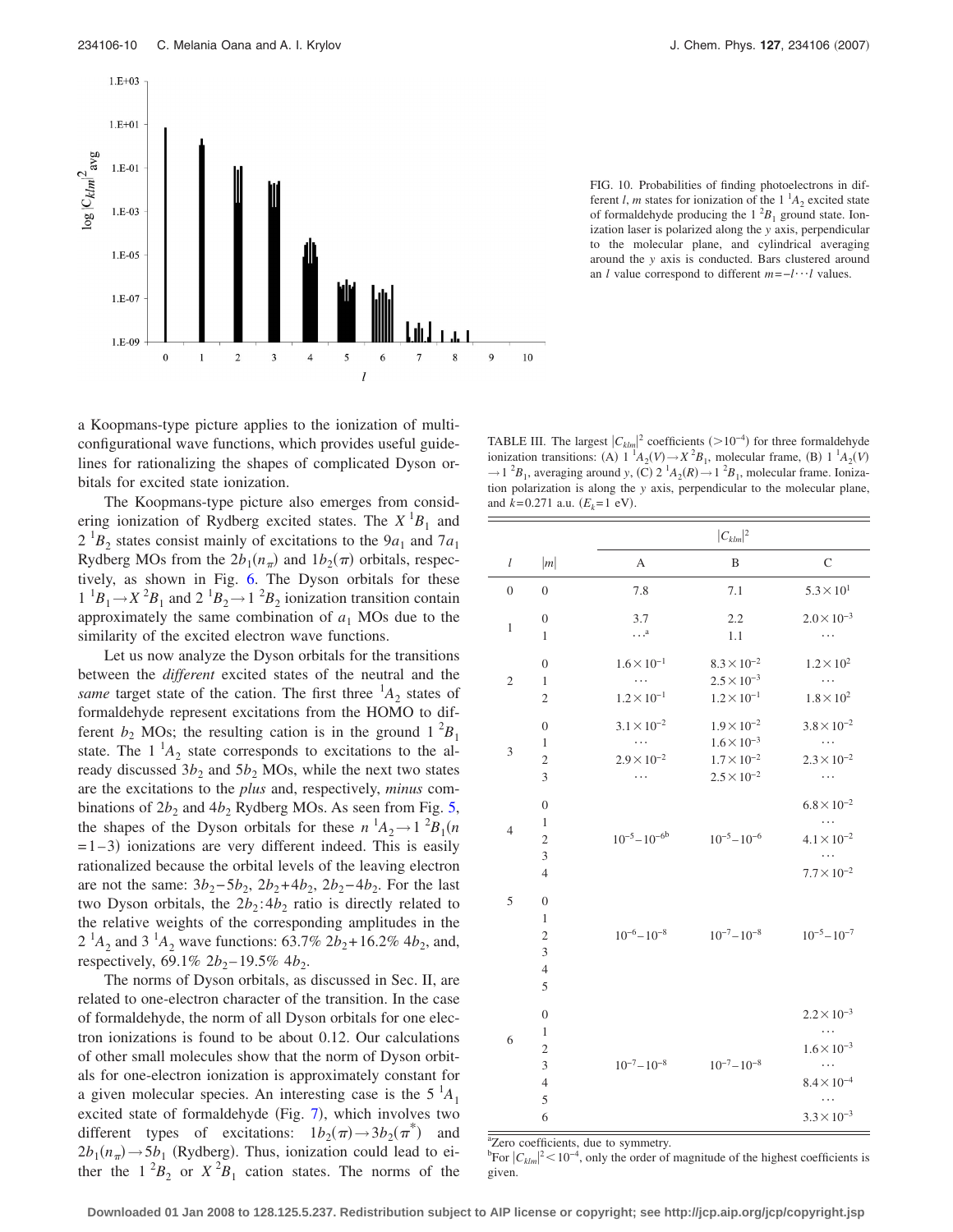<span id="page-9-0"></span>

FIG. 10. Probabilities of finding photoelectrons in different *l*, *m* states for ionization of the 1  $^{1}A_{2}$  excited state of formaldehyde producing the  $1^2B_1$  ground state. Ionization laser is polarized along the *y* axis, perpendicular to the molecular plane, and cylindrical averaging around the *y* axis is conducted. Bars clustered around an *l* value correspond to different *m* = −*l⋅*⋅*·l* values.

a Koopmans-type picture applies to the ionization of multiconfigurational wave functions, which provides useful guidelines for rationalizing the shapes of complicated Dyson orbitals for excited state ionization.

The Koopmans-type picture also emerges from considering ionization of Rydberg excited states. The  $X^1B_1$  and  $2^{1}B_2$  states consist mainly of excitations to the  $9a_1$  and  $7a_1$ Rydberg MOs from the  $2b_1(n_{\pi})$  and  $1b_2(\pi)$  orbitals, respectively, as shown in Fig. [6.](#page-6-1) The Dyson orbitals for these  $1^1B_1 \rightarrow X^2B_1$  and  $2^1B_2 \rightarrow 1^2B_2$  ionization transition contain approximately the same combination of  $a_1$  MOs due to the similarity of the excited electron wave functions.

Let us now analyze the Dyson orbitals for the transitions between the *different* excited states of the neutral and the *same* target state of the cation. The first three  $^{1}A_{2}$  states of formaldehyde represent excitations from the HOMO to different  $b_2$  MOs; the resulting cation is in the ground  $1^2B_1$ state. The  $1^1A_2$  state corresponds to excitations to the already discussed  $3b_2$  and  $5b_2$  MOs, while the next two states are the excitations to the *plus* and, respectively, *minus* combinations of  $2b_2$  and  $4b_2$  Rydberg MOs. As seen from Fig. [5,](#page-6-0) the shapes of the Dyson orbitals for these  $n \binom{1}{2}$   $\rightarrow$  1  $\binom{2}{1}$ *n*  $=1-3$ ) ionizations are very different indeed. This is easily rationalized because the orbital levels of the leaving electron are not the same:  $3b_2 - 5b_2$ ,  $2b_2 + 4b_2$ ,  $2b_2 - 4b_2$ . For the last two Dyson orbitals, the  $2b_2$ :  $4b_2$  ratio is directly related to the relative weights of the corresponding amplitudes in the  $2^{1}A_2$  and  $3^{1}A_2$  wave functions: 63.7%  $2b_2+16.2\%$  4*b*<sub>2</sub>, and, respectively,  $69.1\%$   $2b_2 - 19.5\%$   $4b_2$ .

The norms of Dyson orbitals, as discussed in Sec. II, are related to one-electron character of the transition. In the case of formaldehyde, the norm of all Dyson orbitals for one electron ionizations is found to be about 0.12. Our calculations of other small molecules show that the norm of Dyson orbitals for one-electron ionization is approximately constant for a given molecular species. An interesting case is the  $5<sup>1</sup>A<sub>1</sub>$ excited state of formaldehyde (Fig. [7](#page-7-0)), which involves two different types of excitations:  $1b_2(\pi) \rightarrow 3b_2(\pi^*)$  and  $2b_1(n_\pi) \rightarrow 5b_1$  (Rydberg). Thus, ionization could lead to either the  $1^2B_2$  or  $X^2B_1$  cation states. The norms of the

<span id="page-9-1"></span>TABLE III. The largest  $|C_{klm}|^2$  coefficients (>10<sup>-4</sup>) for three formaldehyde ionization transitions: (A)  $1 \ {}^{1}A_{2}(V) \rightarrow X \ {}^{2}B_{1}$ , molecular frame, (B)  $1 \ {}^{1}A_{2}(V)$  $\rightarrow$  1  ${}^{2}B_{1}$ , averaging around *y*, (C) 2  ${}^{1}A_{2}(R)$   $\rightarrow$  1  ${}^{2}B_{1}$ , molecular frame. Ionization polarization is along the *y* axis, perpendicular to the molecular plane, and  $k=0.271$  a.u.  $(E_k=1 \text{ eV})$ .

|                |                                                                                 | $\vert C_{klm}\vert^2$                                        |                                                                                              |                                                                                                        |
|----------------|---------------------------------------------------------------------------------|---------------------------------------------------------------|----------------------------------------------------------------------------------------------|--------------------------------------------------------------------------------------------------------|
| l              | m                                                                               | А                                                             | $\mathbf B$                                                                                  | $\mathcal{C}$                                                                                          |
| $\overline{0}$ | $\Omega$                                                                        | 7.8                                                           | 7.1                                                                                          | $5.3 \times 10^{1}$                                                                                    |
| $\mathbf{1}$   | $\mathbf{0}$<br>$\mathbf{1}$                                                    | 3.7<br>. <sup>a</sup>                                         | 2.2<br>1.1                                                                                   | $2.0 \times 10^{-3}$<br>$\cdots$                                                                       |
| $\overline{c}$ | $\overline{0}$<br>1<br>$\overline{c}$                                           | $1.6 \times 10^{-1}$<br>$\cdots$<br>$1.2 \times 10^{-1}$      | $8.3 \times 10^{-2}$<br>$2.5 \times 10^{-3}$<br>$1.2 \times 10^{-1}$                         | $1.2 \times 10^{2}$<br>$\cdots$<br>$1.8 \times 10^{2}$                                                 |
| 3              | $\overline{0}$<br>$\mathbf{1}$<br>$\overline{c}$<br>3                           | $3.1 \times 10^{-2}$<br>$\ldots$<br>$2.9 \times 10^{-2}$<br>. | $1.9 \times 10^{-2}$<br>$1.6 \times 10^{-3}$<br>$1.7 \times 10^{-2}$<br>$2.5 \times 10^{-2}$ | $3.8 \times 10^{-2}$<br>$\cdots$<br>$2.3 \times 10^{-2}$<br>.                                          |
| 4              | $\theta$<br>$\mathbf{1}$<br>$\overline{c}$<br>3<br>$\overline{4}$               | $10^{-5} - 10^{-6b}$                                          | $10^{-5} - 10^{-6}$                                                                          | $6.8 \times 10^{-2}$<br>$\cdots$<br>$4.1 \times 10^{-2}$<br>$7.7 \times 10^{-2}$                       |
| 5              | $\overline{0}$<br>$\mathbf{1}$<br>$\overline{2}$<br>3<br>$\overline{4}$<br>5    | $10^{-6} - 10^{-8}$                                           | $10^{-7} - 10^{-8}$                                                                          | $10^{-5} - 10^{-7}$                                                                                    |
| 6              | $\mathbf{0}$<br>$\mathbf{1}$<br>$\overline{c}$<br>3<br>$\overline{4}$<br>5<br>6 | $10^{-7} - 10^{-8}$                                           | $10^{-7} - 10^{-8}$                                                                          | $2.2 \times 10^{-3}$<br>.<br>$1.6 \times 10^{-3}$<br>$8.4 \times 10^{-4}$<br>.<br>$3.3 \times 10^{-3}$ |

<sup>a</sup>Zero coefficients, due to symmetry.

<sup>b</sup>For  $|C_{klm}|^2$  < 10<sup>-4</sup>, only the order of magnitude of the highest coefficients is given.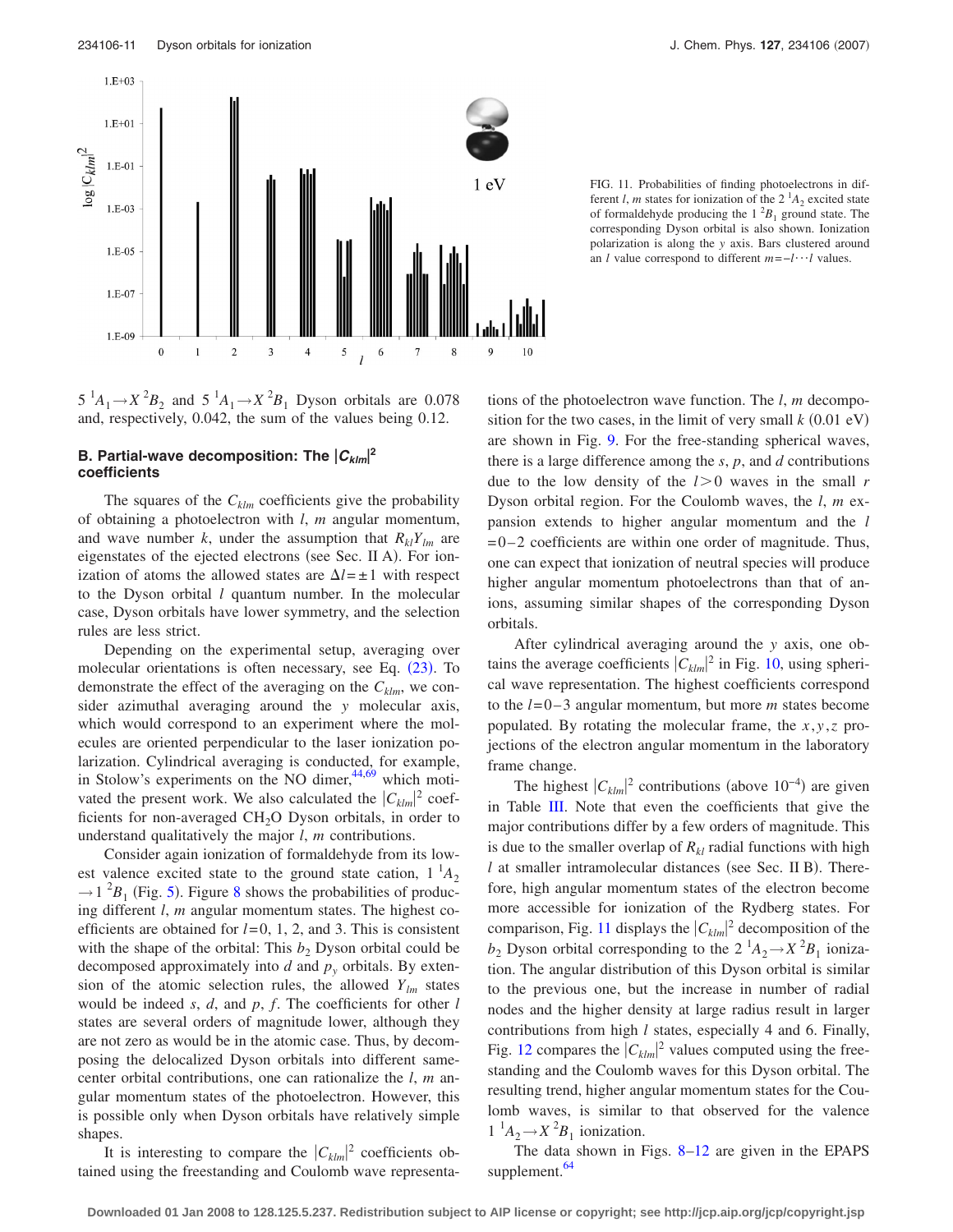<span id="page-10-0"></span>

FIG. 11. Probabilities of finding photoelectrons in different *l*, *m* states for ionization of the  $2^{-1}A_2$  excited state of formaldehyde producing the  $1^2B_1$  ground state. The corresponding Dyson orbital is also shown. Ionization polarization is along the *y* axis. Bars clustered around an *l* value correspond to different *m*=−*l*¯*l* values.

 $5^{-1}A_1 \rightarrow X^{-2}B_2$  and  $5^{-1}A_1 \rightarrow X^{-2}B_1$  Dyson orbitals are 0.078 and, respectively, 0.042, the sum of the values being 0.12.

# **B. Partial-wave decomposition: The** *Cklm* **2 coefficients**

The squares of the  $C_{klm}$  coefficients give the probability of obtaining a photoelectron with *l*, *m* angular momentum, and wave number *k*, under the assumption that  $R_{kl}Y_{lm}$  are eigenstates of the ejected electrons (see Sec. II A). For ionization of atoms the allowed states are  $\Delta l = \pm 1$  with respect to the Dyson orbital *l* quantum number. In the molecular case, Dyson orbitals have lower symmetry, and the selection rules are less strict.

Depending on the experimental setup, averaging over molecular orientations is often necessary, see Eq. ([23](#page-3-3)). To demonstrate the effect of the averaging on the  $C_{klm}$ , we consider azimuthal averaging around the *y* molecular axis, which would correspond to an experiment where the molecules are oriented perpendicular to the laser ionization polarization. Cylindrical averaging is conducted, for example, in Stolow's experiments on the NO dimer, $44,69$  $44,69$  which motivated the present work. We also calculated the  $|C_{klm}|^2$  coefficients for non-averaged  $CH<sub>2</sub>O$  Dyson orbitals, in order to understand qualitatively the major *l*, *m* contributions.

Consider again ionization of formaldehyde from its lowest valence excited state to the ground state cation,  $1^1A_2$  $\rightarrow$  1<sup>2</sup>B<sub>1</sub> (Fig. [5](#page-6-0)). Figure [8](#page-7-1) shows the probabilities of producing different *l*, *m* angular momentum states. The highest coefficients are obtained for  $l=0, 1, 2,$  and 3. This is consistent with the shape of the orbital: This  $b_2$  Dyson orbital could be decomposed approximately into  $d$  and  $p_y$  orbitals. By extension of the atomic selection rules, the allowed  $Y_{lm}$  states would be indeed *s*, *d*, and *p*, *f*. The coefficients for other *l* states are several orders of magnitude lower, although they are not zero as would be in the atomic case. Thus, by decomposing the delocalized Dyson orbitals into different samecenter orbital contributions, one can rationalize the *l*, *m* angular momentum states of the photoelectron. However, this is possible only when Dyson orbitals have relatively simple shapes.

It is interesting to compare the  $|C_{klm}|^2$  coefficients obtained using the freestanding and Coulomb wave representations of the photoelectron wave function. The *l*, *m* decomposition for the two cases, in the limit of very small  $k$  (0.01 eV) are shown in Fig. [9.](#page-8-0) For the free-standing spherical waves, there is a large difference among the *s*, *p*, and *d* contributions due to the low density of the  $l>0$  waves in the small *r* Dyson orbital region. For the Coulomb waves, the *l*, *m* expansion extends to higher angular momentum and the *l*  $=0-2$  coefficients are within one order of magnitude. Thus, one can expect that ionization of neutral species will produce higher angular momentum photoelectrons than that of anions, assuming similar shapes of the corresponding Dyson orbitals.

After cylindrical averaging around the *y* axis, one obtains the average coefficients  $|C_{klm}|^2$  in Fig. [10,](#page-9-0) using spherical wave representation. The highest coefficients correspond to the *l*=0–3 angular momentum, but more *m* states become populated. By rotating the molecular frame, the  $x, y, z$  projections of the electron angular momentum in the laboratory frame change.

The highest  $|C_{klm}|^2$  contributions (above 10<sup>-4</sup>) are given in Table [III.](#page-9-1) Note that even the coefficients that give the major contributions differ by a few orders of magnitude. This is due to the smaller overlap of  $R_{kl}$  radial functions with high  $l$  at smaller intramolecular distances (see Sec. II B). Therefore, high angular momentum states of the electron become more accessible for ionization of the Rydberg states. For comparison, Fig. [11](#page-10-0) displays the  $|C_{klm}|^2$  decomposition of the  $b_2$  Dyson orbital corresponding to the 2  $^1A_2 \rightarrow X^2B_1$  ionization. The angular distribution of this Dyson orbital is similar to the previous one, but the increase in number of radial nodes and the higher density at large radius result in larger contributions from high *l* states, especially 4 and 6. Finally, Fig. [12](#page-11-0) compares the  $|C_{klm}|^2$  values computed using the freestanding and the Coulomb waves for this Dyson orbital. The resulting trend, higher angular momentum states for the Coulomb waves, is similar to that observed for the valence  $1 \ ^1A_2 \rightarrow X \ ^2B_1$  ionization.

The data shown in Figs. [8](#page-7-1)[–12](#page-11-0) are given in the EPAPS supplement.<sup>64</sup>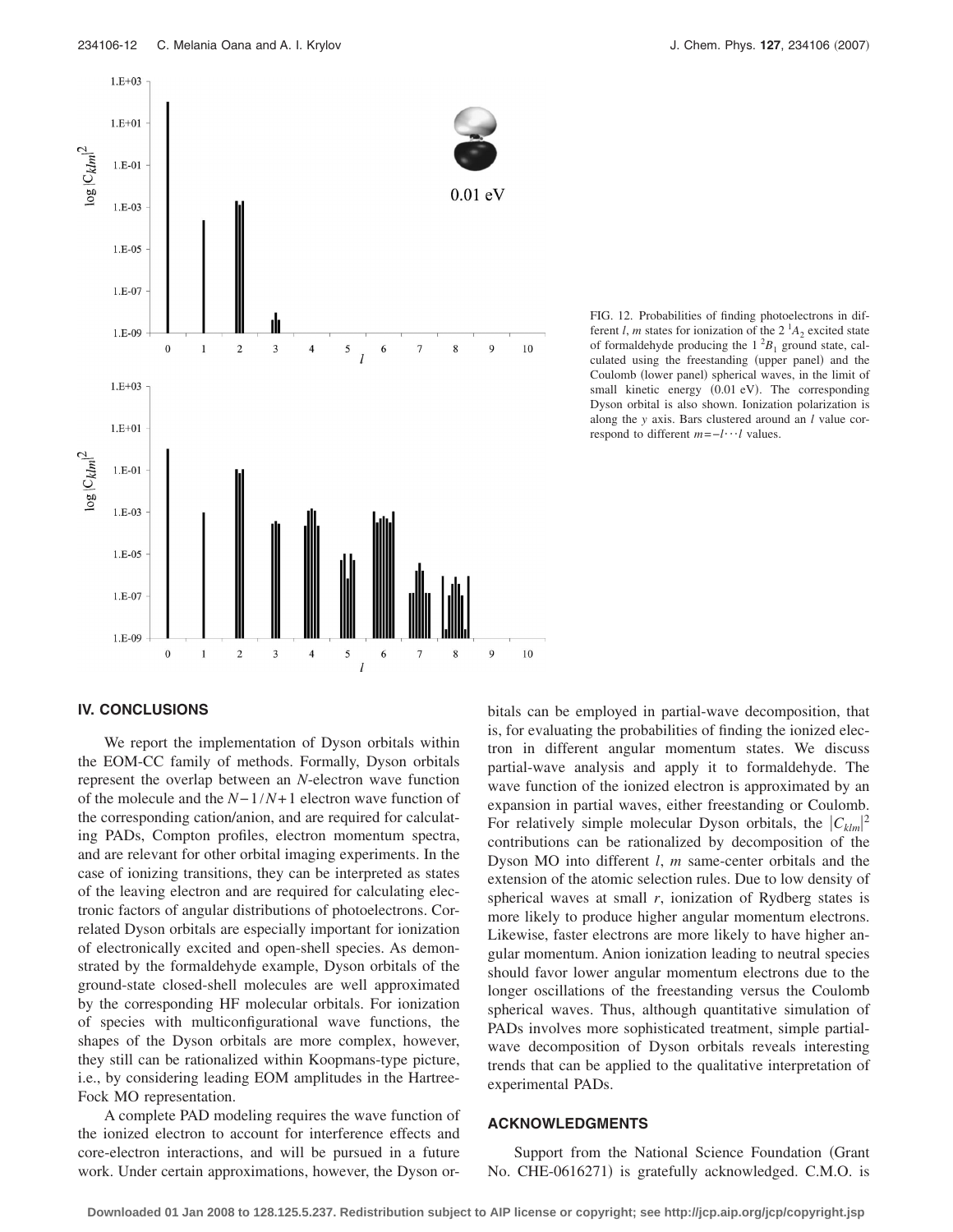<span id="page-11-0"></span>

FIG. 12. Probabilities of finding photoelectrons in different *l*, *m* states for ionization of the  $2^{-1}A_2$  excited state of formaldehyde producing the  $1^2B_1$  ground state, calculated using the freestanding (upper panel) and the Coulomb (lower panel) spherical waves, in the limit of small kinetic energy (0.01 eV). The corresponding Dyson orbital is also shown. Ionization polarization is along the *y* axis. Bars clustered around an *l* value correspond to different *m*=−*l*¯*l* values.

## **IV. CONCLUSIONS**

We report the implementation of Dyson orbitals within the EOM-CC family of methods. Formally, Dyson orbitals represent the overlap between an *N*-electron wave function of the molecule and the *N*− 1/*N*+ 1 electron wave function of the corresponding cation/anion, and are required for calculating PADs, Compton profiles, electron momentum spectra, and are relevant for other orbital imaging experiments. In the case of ionizing transitions, they can be interpreted as states of the leaving electron and are required for calculating electronic factors of angular distributions of photoelectrons. Correlated Dyson orbitals are especially important for ionization of electronically excited and open-shell species. As demonstrated by the formaldehyde example, Dyson orbitals of the ground-state closed-shell molecules are well approximated by the corresponding HF molecular orbitals. For ionization of species with multiconfigurational wave functions, the shapes of the Dyson orbitals are more complex, however, they still can be rationalized within Koopmans-type picture, i.e., by considering leading EOM amplitudes in the Hartree-Fock MO representation.

A complete PAD modeling requires the wave function of the ionized electron to account for interference effects and core-electron interactions, and will be pursued in a future work. Under certain approximations, however, the Dyson orbitals can be employed in partial-wave decomposition, that is, for evaluating the probabilities of finding the ionized electron in different angular momentum states. We discuss partial-wave analysis and apply it to formaldehyde. The wave function of the ionized electron is approximated by an expansion in partial waves, either freestanding or Coulomb. For relatively simple molecular Dyson orbitals, the  $|C_{klm}|^2$ contributions can be rationalized by decomposition of the Dyson MO into different *l*, *m* same-center orbitals and the extension of the atomic selection rules. Due to low density of spherical waves at small *r*, ionization of Rydberg states is more likely to produce higher angular momentum electrons. Likewise, faster electrons are more likely to have higher angular momentum. Anion ionization leading to neutral species should favor lower angular momentum electrons due to the longer oscillations of the freestanding versus the Coulomb spherical waves. Thus, although quantitative simulation of PADs involves more sophisticated treatment, simple partialwave decomposition of Dyson orbitals reveals interesting trends that can be applied to the qualitative interpretation of experimental PADs.

## **ACKNOWLEDGMENTS**

Support from the National Science Foundation Grant No. CHE-0616271) is gratefully acknowledged. C.M.O. is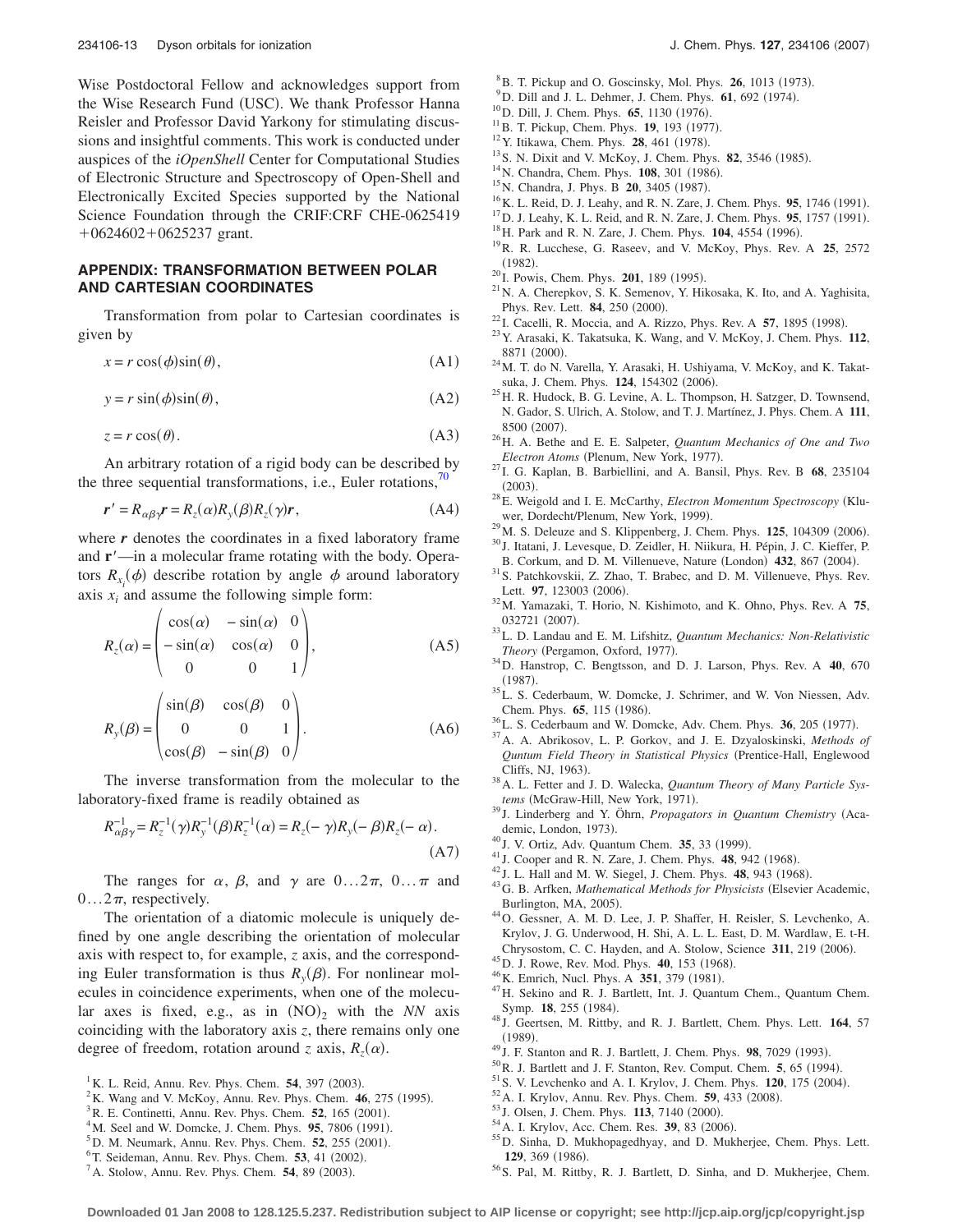Wise Postdoctoral Fellow and acknowledges support from the Wise Research Fund (USC). We thank Professor Hanna Reisler and Professor David Yarkony for stimulating discussions and insightful comments. This work is conducted under auspices of the *iOpenShell* Center for Computational Studies of Electronic Structure and Spectroscopy of Open-Shell and Electronically Excited Species supported by the National Science Foundation through the CRIF:CRF CHE-0625419  $+0624602+0625237$  grant.

# **APPENDIX: TRANSFORMATION BETWEEN POLAR AND CARTESIAN COORDINATES**

Transformation from polar to Cartesian coordinates is given by

 $x = r \cos(\phi) \sin(\theta)$ ,  $(A1)$ 

 $y = r \sin(\phi) \sin(\theta)$ ,  $(A2)$  $(A2)$ 

$$
z = r\cos(\theta). \tag{A3}
$$

An arbitrary rotation of a rigid body can be described by the three sequential transformations, i.e., Euler rotations, $\frac{0}{x}$ 

$$
\mathbf{r}' = R_{\alpha\beta\gamma}\mathbf{r} = R_z(\alpha)R_y(\beta)R_z(\gamma)\mathbf{r},\tag{A4}
$$

<span id="page-12-42"></span>where *r* denotes the coordinates in a fixed laboratory frame and **r**'—in a molecular frame rotating with the body. Operators  $R_{x_i}(\phi)$  describe rotation by angle  $\phi$  around laboratory axis  $x_i$  and assume the following simple form:

$$
R_z(\alpha) = \begin{pmatrix} \cos(\alpha) & -\sin(\alpha) & 0 \\ -\sin(\alpha) & \cos(\alpha) & 0 \\ 0 & 0 & 1 \end{pmatrix},
$$
(A5)  

$$
R_y(\beta) = \begin{pmatrix} \sin(\beta) & \cos(\beta) & 0 \\ 0 & 0 & 1 \\ \cos(\beta) & -\sin(\beta) & 0 \end{pmatrix}.
$$

The inverse transformation from the molecular to the

laboratory-fixed frame is readily obtained as

$$
R_{\alpha\beta\gamma}^{-1} = R_z^{-1}(\gamma)R_y^{-1}(\beta)R_z^{-1}(\alpha) = R_z(-\gamma)R_y(-\beta)R_z(-\alpha).
$$
\n(A7)

The ranges for  $\alpha$ ,  $\beta$ , and  $\gamma$  are  $0...2\pi$ ,  $0... \pi$  and  $0...2\pi$ , respectively.

The orientation of a diatomic molecule is uniquely defined by one angle describing the orientation of molecular axis with respect to, for example, *z* axis, and the corresponding Euler transformation is thus  $R_y(\beta)$ . For nonlinear molecules in coincidence experiments, when one of the molecular axes is fixed, e.g., as in  $(NO)_2$  with the *NN* axis coinciding with the laboratory axis *z*, there remains only one degree of freedom, rotation around *z* axis,  $R_z(\alpha)$ .

- <span id="page-12-1"></span><sup>2</sup>K. Wang and V. McKoy, Annu. Rev. Phys. Chem. **46**, 275 (1995).
- <span id="page-12-2"></span><sup>3</sup>R. E. Continetti, Annu. Rev. Phys. Chem. **52**, 165 (2001).
- <span id="page-12-3"></span><sup>4</sup>M. Seel and W. Domcke, J. Chem. Phys. **95**, 7806 (1991).
- <span id="page-12-22"></span> ${}^{5}$ D. M. Neumark, Annu. Rev. Phys. Chem. **52**, 255 (2001).
- <sup>6</sup>T. Seideman, Annu. Rev. Phys. Chem. **53**, 41 (2002).
- <span id="page-12-4"></span>A. Stolow, Annu. Rev. Phys. Chem. 54, 89 (2003).
- <span id="page-12-5"></span><sup>8</sup> B. T. Pickup and O. Goscinsky, Mol. Phys. **26**, 1013 (1973).
- <span id="page-12-19"></span> $9$  D. Dill and J. L. Dehmer, J. Chem. Phys. **61**, 692 (1974).
- <span id="page-12-7"></span><sup>10</sup>D. Dill, J. Chem. Phys. **65**, 1130 (1976).
- <span id="page-12-27"></span><sup>11</sup> B. T. Pickup, Chem. Phys. **19**, 193 (1977).
- <sup>12</sup> Y. Itikawa, Chem. Phys. **28**, 461 (1978). <sup>12</sup> Y. Itikawa, Chem. Phys. **28**, 461 (1978).<br><sup>13</sup> S. N. Dixit and V. McKoy, J. Chem. Phys. **82**, 3546 (1985)
- <sup>13</sup> S. N. Dixit and V. McKoy, J. Chem. Phys. **82**, 3546 (1985).<br><sup>14</sup> N. Chandra, Chem. Phys. **108**, 301 (1986).
- <span id="page-12-31"></span><sup>14</sup> N. Chandra, Chem. Phys. **108**, 301 (1986).<br><sup>15</sup> N. Chandra, J. Phys. B **20**, 3405 (1987).
- <sup>16</sup> K. L. Reid, D. J. Leahy, and R. N. Zare, J. Chem. Phys. **95**, 1746 (1991).
- <sup>16</sup> K. L. Reid, D. J. Leahy, and R. N. Zare, J. Chem. Phys. **95**, 1746 (1991).<br><sup>17</sup> D. J. Leahy, K. L. Reid, and R. N. Zare, J. Chem. Phys. **95**, 1757 (1991).
- <sup>1</sup> D. J. Leahy, K. L. Reid, and R. N. Zare, J. Chem. Phys. **95**, 1757 (1991). <sup>18</sup>H. Park and R. N. Zare, J. Chem. Phys. **104**, 4554 (1996).
- <span id="page-12-17"></span><sup>18</sup> H. Park and R. N. Zare, J. Chem. Phys. **104**, 4554 (1996).<br><sup>19</sup> R. R. Lucchese, G. Raseev, and V. McKoy, Phys. Rev. A **25**, 2572  $(1982).$
- <sup>20</sup> I. Powis, Chem. Phys. **201**, 189 (1995).
- $21$ N. A. Cherepkov, S. K. Semenov, Y. Hikosaka, K. Ito, and A. Yaghisita, Phys. Rev. Lett. **84**, 250 (2000).
- <span id="page-12-6"></span><sup>22</sup> I. Cacelli, R. Moccia, and A. Rizzo, Phys. Rev. A **57**, 1895 (1998).
- <span id="page-12-8"></span>. 23Y. Arasaki, K. Takatsuka, K. Wang, and V. McKoy, J. Chem. Phys. **<sup>112</sup>**, 8871 (2000).
- $24$ M. T. do N. Varella, Y. Arasaki, H. Ushiyama, V. McKoy, and K. Takatsuka, J. Chem. Phys. **124**, 154302 (2006).
- <span id="page-12-9"></span><sup>25</sup> H. R. Hudock, B. G. Levine, A. L. Thompson, H. Satzger, D. Townsend, N. Gador, S. Ulrich, A. Stolow, and T. J. Martínez, J. Phys. Chem. A **111**, 8500 (2007).
- <span id="page-12-10"></span>. 26H. A. Bethe and E. E. Salpeter, *Quantum Mechanics of One and Two Electron Atoms* (Plenum, New York, 1977).
- <span id="page-12-11"></span>. <sup>27</sup> I. G. Kaplan, B. Barbiellini, and A. Bansil, Phys. Rev. B **<sup>68</sup>**, 235104  $(2003).$
- <span id="page-12-12"></span>. 28E. Weigold and I. E. McCarthy, *Electron Momentum Spectroscopy* Kluwer, Dordecht/Plenum, New York, 1999).
- <span id="page-12-13"></span><sup>29</sup>M. S. Deleuze and S. Klippenberg, J. Chem. Phys. **125**, 104309 (2006). . <sup>30</sup> J. Itatani, J. Levesque, D. Zeidler, H. Niikura, H. Pépin, J. C. Kieffer, P.
- <span id="page-12-14"></span>B. Corkum, and D. M. Villenueve, Nature (London) 432, 867 (2004) <sup>31</sup>S. Patchkovskii, Z. Zhao, T. Brabec, and D. M. Villenueve, Phys. Rev.
- <span id="page-12-28"></span>Lett. 97, 123003 (2006).
- <span id="page-12-15"></span>. 32M. Yamazaki, T. Horio, N. Kishimoto, and K. Ohno, Phys. Rev. A **<sup>75</sup>**, 032721 (2007).
- <span id="page-12-16"></span>. 33L. D. Landau and E. M. Lifshitz, *Quantum Mechanics: Non-Relativistic Theory* (Pergamon, Oxford, 1977).
- <span id="page-12-18"></span>. 34D. Hanstrop, C. Bengtsson, and D. J. Larson, Phys. Rev. A **<sup>40</sup>**, 670  $(1987).$
- <span id="page-12-20"></span> $^{35}$ L. S. Cederbaum, W. Domcke, J. Schrimer, and W. Von Niessen, Adv. Chem. Phys. **65**, 115 (1986).
- <span id="page-12-21"></span><sup>36</sup>L. S. Cederbaum and W. Domcke, Adv. Chem. Phys. **36**, 205 (1977).
- <span id="page-12-23"></span>. 37A. A. Abrikosov, L. P. Gorkov, and J. E. Dzyaloskinski, *Methods of* **Quntum Field Theory in Statistical Physics (Prentice-Hall, Englewood** Cliffs, NJ, 1963).
- <span id="page-12-24"></span><sup>38</sup> A. L. Fetter and J. D. Walecka, *Quantum Theory of Many Particle Sys*tems (McGraw-Hill, New York, 1971).
- <span id="page-12-25"></span>. <sup>39</sup> J. Linderberg and Y. Öhrn, *Propagators in Quantum Chemistry* Academic, London, 1973).
- <span id="page-12-26"></span><sup>40</sup> J. V. Ortiz, Adv. Quantum Chem. **35**, 33 (1999).
- <span id="page-12-29"></span><sup>41</sup> J. Cooper and R. N. Zare, J. Chem. Phys. **48**, 942 (1968).
- <span id="page-12-30"></span><sup>42</sup> J. L. Hall and M. W. Siegel, J. Chem. Phys. **48**, 943 (1968).
- <span id="page-12-32"></span><sup>43</sup> G. B. Arfken, *Mathematical Methods for Physicists* (Elsevier Academic, Burlington, MA, 2005).
- <span id="page-12-33"></span>. 44O. Gessner, A. M. D. Lee, J. P. Shaffer, H. Reisler, S. Levchenko, A. Krylov, J. G. Underwood, H. Shi, A. L. L. East, D. M. Wardlaw, E. t-H. Chrysostom, C. C. Hayden, and A. Stolow, Science 311, 219 (2006).
- <span id="page-12-34"></span><sup>45</sup> D. J. Rowe, Rev. Mod. Phys. **40**, 153 (1968).
- <sup>46</sup> K. Emrich, Nucl. Phys. A **351**, 379 (1981).
- <span id="page-12-39"></span><sup>47</sup>H. Sekino and R. J. Bartlett, Int. J. Quantum Chem., Quantum Chem. Symp. **18**, 255 (1984).
- . <sup>48</sup> J. Geertsen, M. Rittby, and R. J. Bartlett, Chem. Phys. Lett. **<sup>164</sup>**, 57  $(1989).$
- <span id="page-12-40"></span>49 J. F. Stanton and R. J. Bartlett, J. Chem. Phys. **98**, 7029 (1993).
- <sup>50</sup> R. J. Bartlett and J. F. Stanton, Rev. Comput. Chem. **5**, 65 (1994).
- <span id="page-12-41"></span><sup>51</sup> S. V. Levchenko and A. I. Krylov, J. Chem. Phys. **120**, 175 (2004). <sup>51</sup> S. V. Levchenko and A. I. Krylov, J. Chem. Phys. **120**, 175 (2004).<br><sup>52</sup> A. I. Krylov, Annu. Rev. Phys. Chem. **59**, 433 (2008).
- <span id="page-12-35"></span><sup>22</sup> A. I. Krylov, Annu. Rev. Phys. Chem. **59**, 433 (2008).<br><sup>53</sup> J. Olsen, J. Chem. Phys. **113**, 7140 (2000).
- <span id="page-12-37"></span>
- <span id="page-12-36"></span><sup>53</sup> J. Olsen, J. Chem. Phys. **113**, 7140 (2000).<br><sup>54</sup> A. I. Krylov, Acc. Chem. Res. **39**, 83 (2006).
- <span id="page-12-38"></span>. 55D. Sinha, D. Mukhopagedhyay, and D. Mukherjee, Chem. Phys. Lett. 129, 369 (1986).
- <sup>56</sup> S. Pal, M. Rittby, R. J. Bartlett, D. Sinha, and D. Mukherjee, Chem.

<span id="page-12-0"></span><sup>&</sup>lt;sup>1</sup>K. L. Reid, Annu. Rev. Phys. Chem. **54**, 397 (2003).